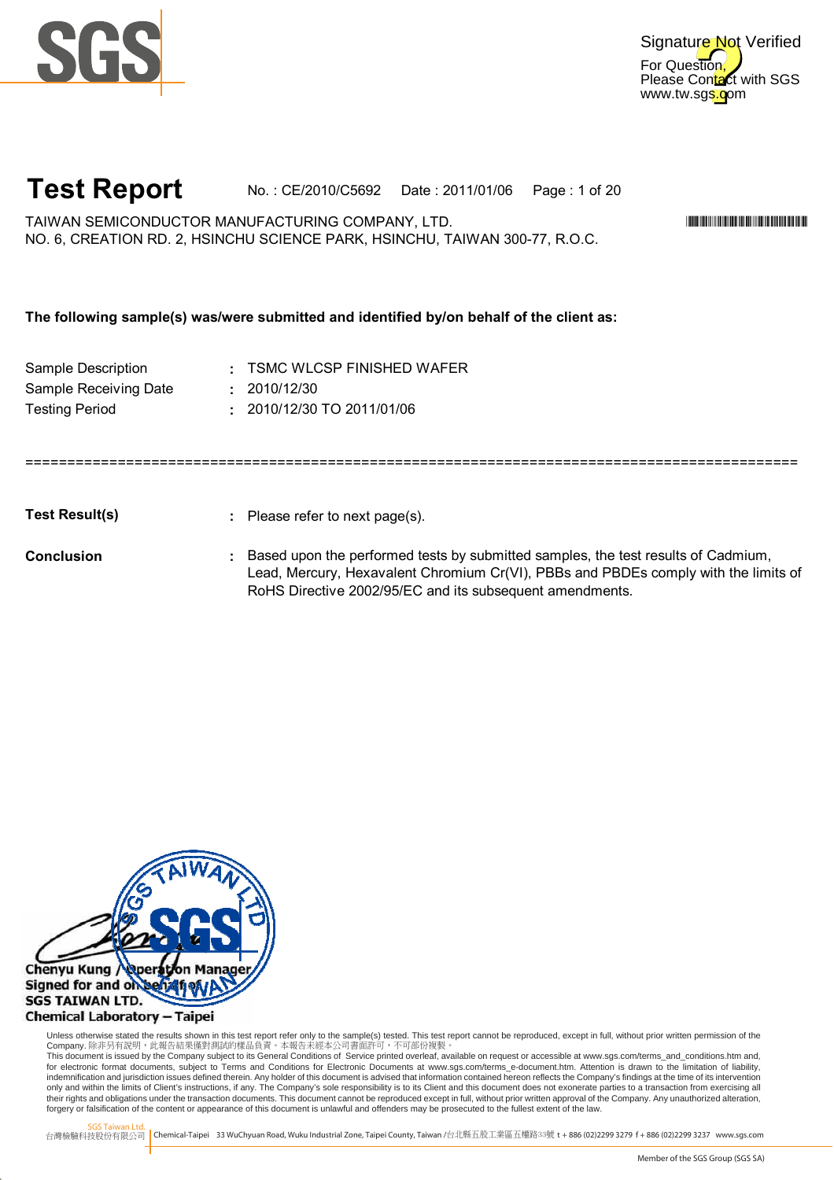

### **Test Report** No. : CE/2010/C5692 Date : 2011/01/06 Page : 1 of 20

TAIWAN SEMICONDUCTOR MANUFACTURING COMPANY, LTD. \*CE/2010/C5692\* NO. 6, CREATION RD. 2, HSINCHU SCIENCE PARK, HSINCHU, TAIWAN 300-77, R.O.C.

#### **The following sample(s) was/were submitted and identified by/on behalf of the client as:**

| Sample Description    | : TSMC WLCSP FINISHED WAFER  |
|-----------------------|------------------------------|
| Sample Receiving Date | : 2010/12/30                 |
| <b>Testing Period</b> | $: 2010/12/30$ TO 2011/01/06 |

**Test Result(s)**

**:** Please refer to next page(s).

============================================================================================

**Conclusion**

**:** Based upon the performed tests by submitted samples, the test results of Cadmium, Lead, Mercury, Hexavalent Chromium Cr(VI), PBBs and PBDEs comply with the limits of RoHS Directive 2002/95/EC and its subsequent amendments.



Unless otherwise stated the results shown in this test report refer only to the sample(s) tested. This test report cannot be reproduced, except in full, without prior written permission of the Company. 除非另有說明,此報告結果僅對測試的樣品負責。本報告未經本公司書面許可,不可部份複製。

This document is issued by the Company subject to its General Conditions of Service printed overleaf, available on request or accessible at www.sgs.com/terms\_and\_conditions.htm and,<br>for electronic format documents, subject indemnification and jurisdiction issues defined therein. Any holder of this document is advised that information contained hereon reflects the Company's findings at the time of its intervention only and within the limits of Client's instructions, if any. The Company's sole responsibility is to its Client and this document does not exonerate parties to a transaction from exercising all<br>their rights and obligations forgery or falsification of the content or appearance of this document is unlawful and offenders may be prosecuted to the fullest extent of the law.

SGS Taiwan Ltd.

Digitally signed by www.wmholetech.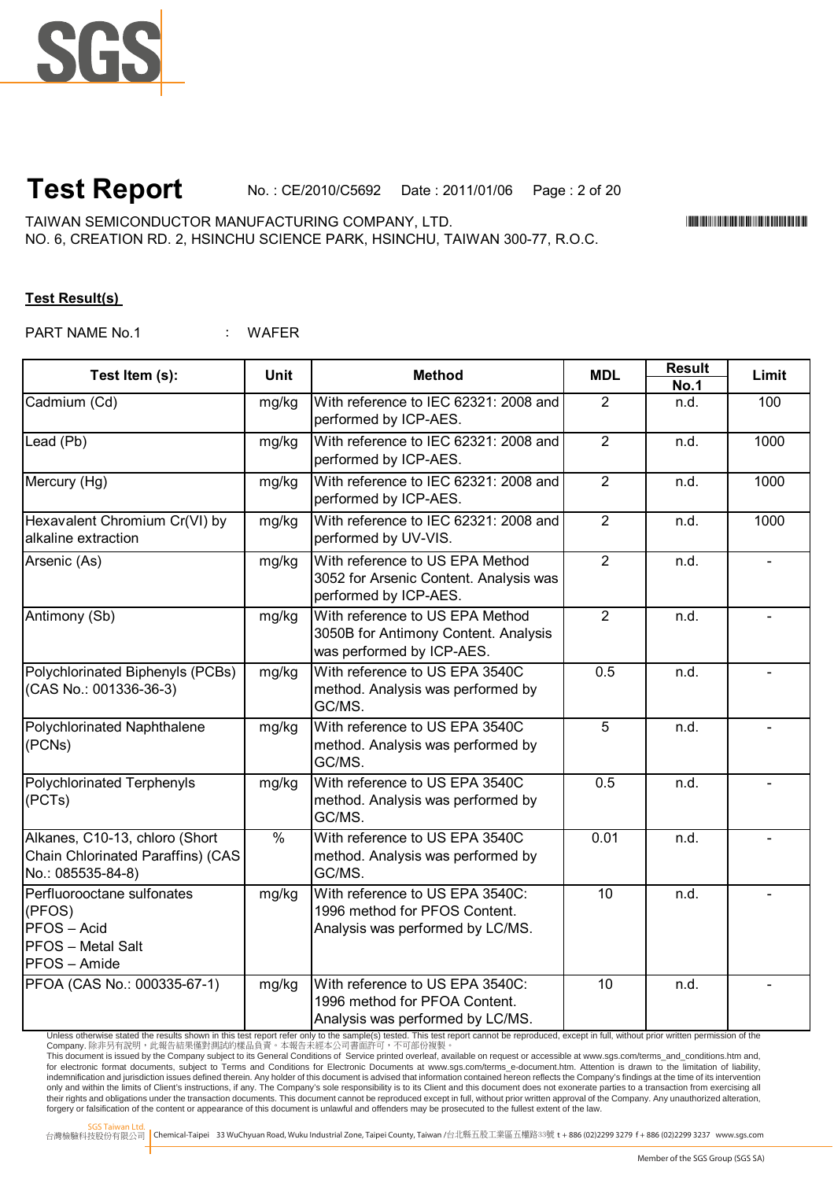

## **Test Report** No. : CE/2010/C5692 Date : 2011/01/06 Page : 2 of 20

TAIWAN SEMICONDUCTOR MANUFACTURING COMPANY, LTD. \*CE/2010/C5692\* NO. 6, CREATION RD. 2, HSINCHU SCIENCE PARK, HSINCHU, TAIWAN 300-77, R.O.C.

#### **Test Result(s)**

: WAFFR PART NAME No.1

| Test Item (s):                                                                                | <b>Unit</b> | <b>Method</b>                                                                                        | <b>MDL</b>     | <b>Result</b>       | Limit          |
|-----------------------------------------------------------------------------------------------|-------------|------------------------------------------------------------------------------------------------------|----------------|---------------------|----------------|
| Cadmium (Cd)                                                                                  | mg/kg       | With reference to IEC 62321: 2008 and<br>performed by ICP-AES.                                       | $\overline{2}$ | <b>No.1</b><br>n.d. | 100            |
| Lead (Pb)                                                                                     | mg/kg       | With reference to IEC 62321: 2008 and<br>performed by ICP-AES.                                       | $\overline{2}$ | n.d.                | 1000           |
| Mercury (Hg)                                                                                  | mg/kg       | With reference to IEC 62321: 2008 and<br>performed by ICP-AES.                                       | 2              | n.d.                | 1000           |
| Hexavalent Chromium Cr(VI) by<br>alkaline extraction                                          | mg/kg       | With reference to IEC 62321: 2008 and<br>performed by UV-VIS.                                        | $\overline{2}$ | n.d.                | 1000           |
| Arsenic (As)                                                                                  | mg/kg       | With reference to US EPA Method<br>3052 for Arsenic Content. Analysis was<br>performed by ICP-AES.   | $\overline{2}$ | n.d.                | $\overline{a}$ |
| Antimony (Sb)                                                                                 | mg/kg       | With reference to US EPA Method<br>3050B for Antimony Content. Analysis<br>was performed by ICP-AES. | $\overline{2}$ | n.d.                |                |
| Polychlorinated Biphenyls (PCBs)<br>(CAS No.: 001336-36-3)                                    | mg/kg       | With reference to US EPA 3540C<br>method. Analysis was performed by<br>GC/MS.                        | 0.5            | n.d.                |                |
| Polychlorinated Naphthalene<br>(PCNs)                                                         | mg/kg       | With reference to US EPA 3540C<br>method. Analysis was performed by<br>GC/MS.                        | 5              | n.d.                |                |
| <b>Polychlorinated Terphenyls</b><br>(PCTs)                                                   | mg/kg       | With reference to US EPA 3540C<br>method. Analysis was performed by<br>GC/MS.                        | 0.5            | n.d.                |                |
| Alkanes, C10-13, chloro (Short<br>Chain Chlorinated Paraffins) (CAS<br>No.: 085535-84-8)      | $\%$        | With reference to US EPA 3540C<br>method. Analysis was performed by<br>GC/MS.                        | 0.01           | n.d.                |                |
| Perfluorooctane sulfonates<br>(PFOS)<br>PFOS-Acid<br><b>PFOS</b> - Metal Salt<br>PFOS - Amide | mg/kg       | With reference to US EPA 3540C:<br>1996 method for PFOS Content.<br>Analysis was performed by LC/MS. | 10             | n.d.                |                |
| PFOA (CAS No.: 000335-67-1)                                                                   | mg/kg       | With reference to US EPA 3540C:<br>1996 method for PFOA Content.<br>Analysis was performed by LC/MS. | 10             | n.d.                |                |

Unless otherwise stated the results shown in this test report refer only to the sample(s) tested. This test report cannot be reproduced, except in full, without prior written permission of the Company. 除非另有說明,此報告結果僅對測試的樣品負責。本報告未經本公司書面許可,不可部份複製。<br>This document is issued by the Company subject to its General Conditions of Service printed overleaf available on request or accessible at www.sgs.com/terms\_and\_conditio indemnification and jurisdiction issues defined therein. Any holder of this document is advised that information contained hereon reflects the Company's findings at the time of its intervention

only and within the limits of Client's instructions, if any. The Company's sole responsibility is to its Client and this document does not exonerate parties to a transaction from exercising all<br>their rights and obligations forgery or falsification of the content or appearance of this document is unlawful and offenders may be prosecuted to the fullest extent of the law.

SGS Taiwan Ltd.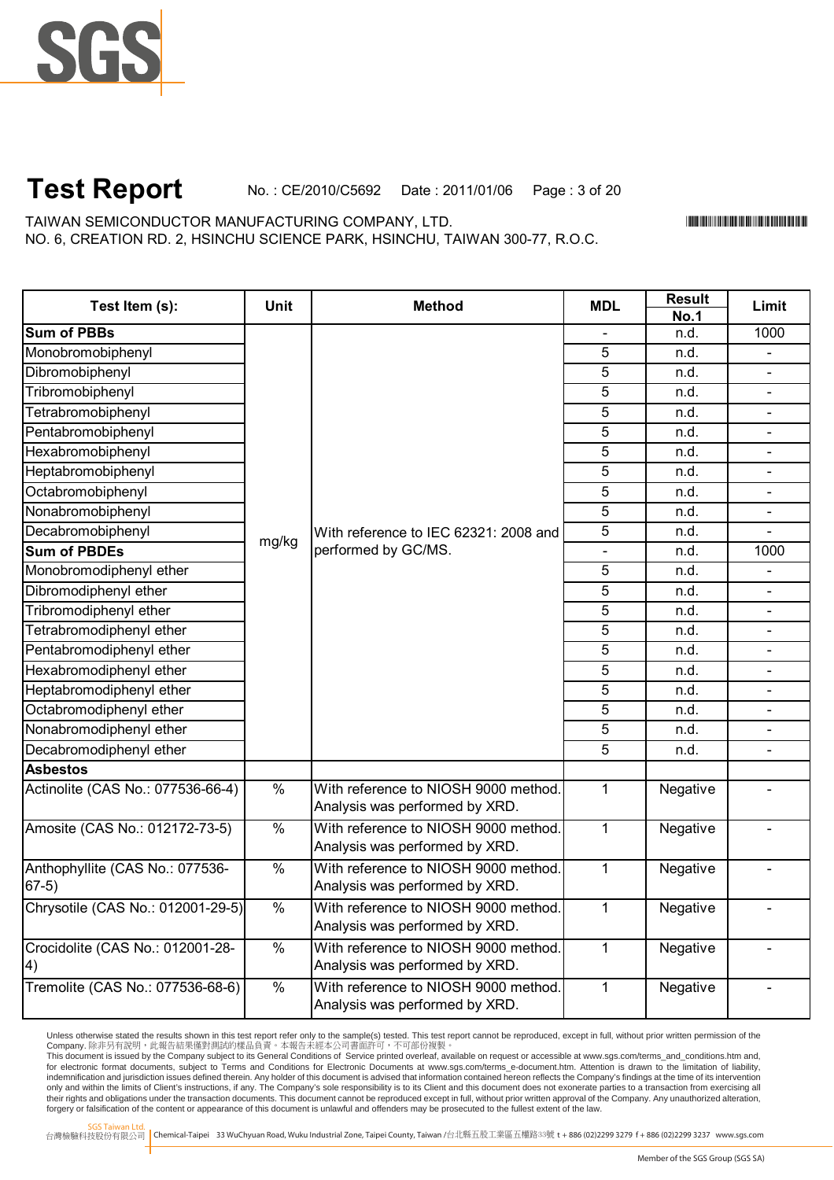

#### **Test Report** No. : CE/2010/C5692 Date : 2011/01/06 Page : 3 of 20

TAIWAN SEMICONDUCTOR MANUFACTURING COMPANY, LTD. NO. 6, CREATION RD. 2, HSINCHU SCIENCE PARK, HSINCHU, TAIWAN 300-77, R.O.C. \*CE/2010/C5692\*CE/2010/C5692\*CE/2010/C5692\*CE/2010

| Test Item (s):                             | <b>Unit</b>   | <b>Method</b>                                                          | <b>MDL</b>     | <b>Result</b><br><b>No.1</b> | Limit          |
|--------------------------------------------|---------------|------------------------------------------------------------------------|----------------|------------------------------|----------------|
| <b>Sum of PBBs</b>                         |               |                                                                        |                | n.d.                         | 1000           |
| Monobromobiphenyl                          |               |                                                                        | 5              | n.d.                         |                |
| Dibromobiphenyl                            |               |                                                                        | $\overline{5}$ | n.d.                         | $\blacksquare$ |
| Tribromobiphenyl                           |               |                                                                        | 5              | n.d.                         | $\blacksquare$ |
| Tetrabromobiphenyl                         |               |                                                                        | 5              | n.d.                         | $\blacksquare$ |
| Pentabromobiphenyl                         |               |                                                                        | 5              | n.d.                         |                |
| Hexabromobiphenyl                          |               |                                                                        | 5              | n.d.                         |                |
| Heptabromobiphenyl                         |               |                                                                        | 5              | n.d.                         |                |
| Octabromobiphenyl                          |               |                                                                        | 5              | n.d.                         |                |
| Nonabromobiphenyl                          |               |                                                                        | $\overline{5}$ | n.d.                         |                |
| Decabromobiphenyl                          |               | With reference to IEC 62321: 2008 and                                  | $\overline{5}$ | n.d.                         |                |
| <b>Sum of PBDEs</b>                        | mg/kg         | performed by GC/MS.                                                    |                | n.d.                         | 1000           |
| Monobromodiphenyl ether                    |               |                                                                        | 5              | n.d.                         |                |
| Dibromodiphenyl ether                      |               |                                                                        | 5              | n.d.                         |                |
| Tribromodiphenyl ether                     |               |                                                                        | $\overline{5}$ | n.d.                         | $\blacksquare$ |
| Tetrabromodiphenyl ether                   |               |                                                                        | $\overline{5}$ | n.d.                         | $\blacksquare$ |
| Pentabromodiphenyl ether                   |               |                                                                        | 5              | n.d.                         | $\blacksquare$ |
| Hexabromodiphenyl ether                    |               |                                                                        | $\overline{5}$ | n.d.                         | $\blacksquare$ |
| Heptabromodiphenyl ether                   |               |                                                                        | 5              | n.d.                         | $\blacksquare$ |
| Octabromodiphenyl ether                    |               |                                                                        | $\overline{5}$ | n.d.                         | $\blacksquare$ |
| Nonabromodiphenyl ether                    |               |                                                                        | 5              | n.d.                         |                |
| Decabromodiphenyl ether                    |               |                                                                        | 5              | n.d.                         |                |
| <b>Asbestos</b>                            |               |                                                                        |                |                              |                |
| Actinolite (CAS No.: 077536-66-4)          | $\frac{0}{6}$ | With reference to NIOSH 9000 method.<br>Analysis was performed by XRD. | $\mathbf{1}$   | Negative                     | $\overline{a}$ |
| Amosite (CAS No.: 012172-73-5)             | $\frac{9}{6}$ | With reference to NIOSH 9000 method.<br>Analysis was performed by XRD. | $\mathbf{1}$   | Negative                     |                |
| Anthophyllite (CAS No.: 077536-<br>$67-5)$ | $\frac{9}{6}$ | With reference to NIOSH 9000 method.<br>Analysis was performed by XRD. | $\mathbf{1}$   | Negative                     |                |
| Chrysotile (CAS No.: 012001-29-5)          | $\frac{1}{2}$ | With reference to NIOSH 9000 method.<br>Analysis was performed by XRD. | $\mathbf{1}$   | Negative                     |                |
| Crocidolite (CAS No.: 012001-28-<br>4)     | $\%$          | With reference to NIOSH 9000 method.<br>Analysis was performed by XRD. | $\mathbf{1}$   | Negative                     |                |
| Tremolite (CAS No.: 077536-68-6)           | $\frac{1}{2}$ | With reference to NIOSH 9000 method.<br>Analysis was performed by XRD. | $\mathbf{1}$   | Negative                     |                |

Unless otherwise stated the results shown in this test report refer only to the sample(s) tested. This test report cannot be reproduced, except in full, without prior written permission of the

Company. 除非另有說明,此報告結果僅對測試的樣品負責。本報告未經本公司書面許可,不可部份複製。<br>This document is issued by the Company subject to its General Conditions of Service printed overleaf available on request or accessible at www.sgs.com/terms\_and\_conditio indemnification and jurisdiction issues defined therein. Any holder of this document is advised that information contained hereon reflects the Company's findings at the time of its intervention only and within the limits of Client's instructions, if any. The Company's sole responsibility is to its Client and this document does not exonerate parties to a transaction from exercising all<br>their rights and obligations forgery or falsification of the content or appearance of this document is unlawful and offenders may be prosecuted to the fullest extent of the law.

SGS Taiwan Ltd.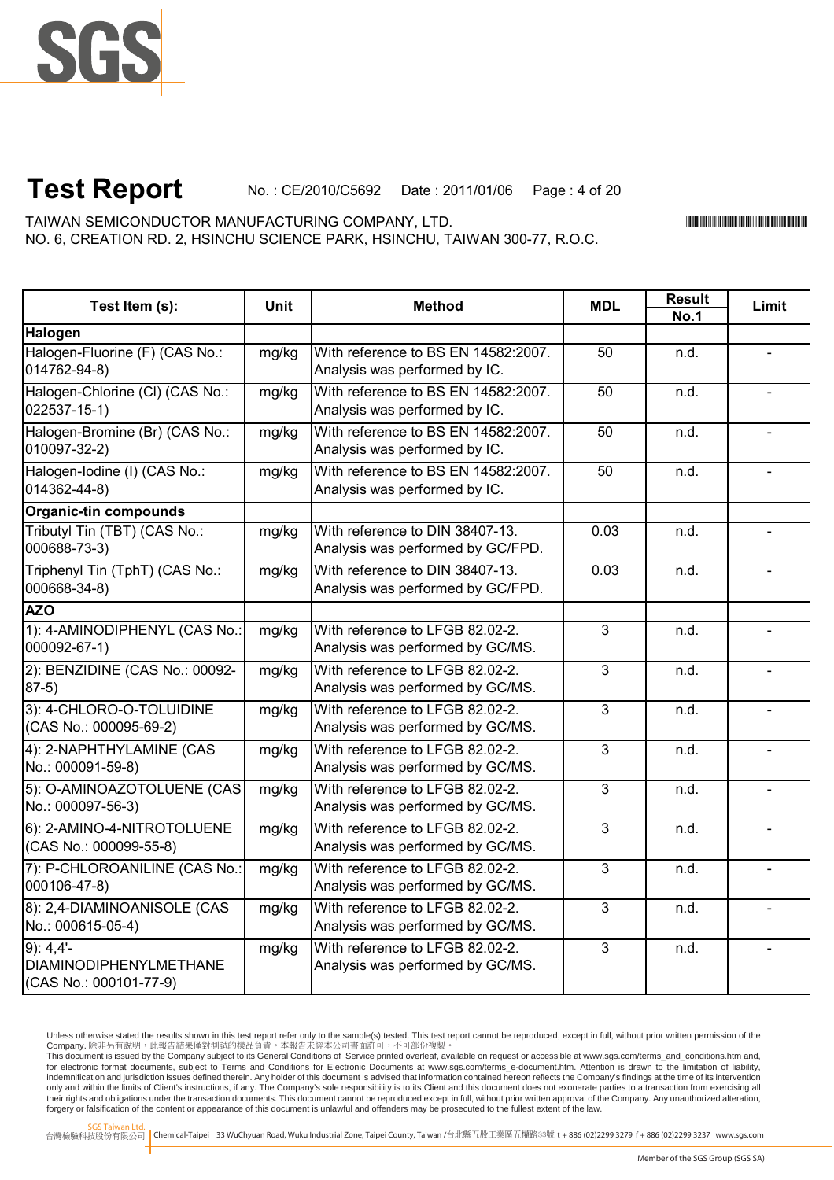

# **Test Report** No. : CE/2010/C5692 Date : 2011/01/06 Page : 4 of 20

NO. 6, CREATION RD. 2, HSINCHU SCIENCE PARK, HSINCHU, TAIWAN 300-77, R.O.C. TAIWAN SEMICONDUCTOR MANUFACTURING COMPANY, LTD.

\*CE/2010/C5692\*CE/2010/C5692\*CE/2010/C5692\*CE/2010

| Test Item (s):                                                    | Unit  | <b>Method</b>                                                        | <b>MDL</b>     | Result<br><b>No.1</b> | Limit |
|-------------------------------------------------------------------|-------|----------------------------------------------------------------------|----------------|-----------------------|-------|
| Halogen                                                           |       |                                                                      |                |                       |       |
| Halogen-Fluorine (F) (CAS No.:<br>014762-94-8)                    | mg/kg | With reference to BS EN 14582:2007.<br>Analysis was performed by IC. | 50             | n.d.                  |       |
| Halogen-Chlorine (CI) (CAS No.:<br>$022537 - 15 - 1)$             | mg/kg | With reference to BS EN 14582:2007.<br>Analysis was performed by IC. | 50             | n.d.                  |       |
| Halogen-Bromine (Br) (CAS No.:<br>010097-32-2)                    | mg/kg | With reference to BS EN 14582:2007.<br>Analysis was performed by IC. | 50             | n.d.                  |       |
| Halogen-Iodine (I) (CAS No.:<br>014362-44-8)                      | mg/kg | With reference to BS EN 14582:2007.<br>Analysis was performed by IC. | 50             | n.d.                  |       |
| <b>Organic-tin compounds</b>                                      |       |                                                                      |                |                       |       |
| Tributyl Tin (TBT) (CAS No.:<br>000688-73-3)                      | mg/kg | With reference to DIN 38407-13.<br>Analysis was performed by GC/FPD. | 0.03           | n.d.                  |       |
| Triphenyl Tin (TphT) (CAS No.:<br>000668-34-8)                    | mg/kg | With reference to DIN 38407-13.<br>Analysis was performed by GC/FPD. | 0.03           | n.d.                  |       |
| <b>AZO</b>                                                        |       |                                                                      |                |                       |       |
| 1): 4-AMINODIPHENYL (CAS No.:<br>000092-67-1)                     | mg/kg | With reference to LFGB 82.02-2.<br>Analysis was performed by GC/MS.  | $\overline{3}$ | n.d.                  |       |
| 2): BENZIDINE (CAS No.: 00092-<br>$87-5)$                         | mg/kg | With reference to LFGB 82.02-2.<br>Analysis was performed by GC/MS.  | $\overline{3}$ | n.d.                  |       |
| 3): 4-CHLORO-O-TOLUIDINE<br>(CAS No.: 000095-69-2)                | mg/kg | With reference to LFGB 82.02-2.<br>Analysis was performed by GC/MS.  | $\overline{3}$ | n.d.                  |       |
| 4): 2-NAPHTHYLAMINE (CAS<br>No.: 000091-59-8)                     | mg/kg | With reference to LFGB 82.02-2.<br>Analysis was performed by GC/MS.  | $\overline{3}$ | n.d.                  |       |
| 5): O-AMINOAZOTOLUENE (CAS<br>No.: 000097-56-3)                   | mg/kg | With reference to LFGB 82.02-2.<br>Analysis was performed by GC/MS.  | $\overline{3}$ | n.d.                  |       |
| 6): 2-AMINO-4-NITROTOLUENE<br>(CAS No.: 000099-55-8)              | mg/kg | With reference to LFGB 82.02-2.<br>Analysis was performed by GC/MS.  | $\overline{3}$ | n.d.                  |       |
| 7): P-CHLOROANILINE (CAS No.:<br>000106-47-8)                     | mg/kg | With reference to LFGB 82.02-2.<br>Analysis was performed by GC/MS.  | 3              | n.d.                  |       |
| 8): 2,4-DIAMINOANISOLE (CAS<br>No.: 000615-05-4)                  | mg/kg | With reference to LFGB 82.02-2.<br>Analysis was performed by GC/MS.  | $\overline{3}$ | n.d.                  |       |
| 9:4.4'<br><b>DIAMINODIPHENYLMETHANE</b><br>(CAS No.: 000101-77-9) | mg/kg | With reference to LFGB 82.02-2.<br>Analysis was performed by GC/MS.  | $\mathbf{3}$   | n.d.                  |       |

Unless otherwise stated the results shown in this test report refer only to the sample(s) tested. This test report cannot be reproduced, except in full, without prior written permission of the

Company. 除非另有說明,此報告結果僅對測試的樣品負責。本報告未經本公司書面許可,不可部份複製。<br>This document is issued by the Company subject to its General Conditions of Service printed overleaf available on request or accessible at www.sgs.com/terms\_and\_conditio indemnification and jurisdiction issues defined therein. Any holder of this document is advised that information contained hereon reflects the Company's findings at the time of its intervention only and within the limits of Client's instructions, if any. The Company's sole responsibility is to its Client and this document does not exonerate parties to a transaction from exercising all<br>their rights and obligations forgery or falsification of the content or appearance of this document is unlawful and offenders may be prosecuted to the fullest extent of the law.

SGS Taiwan Ltd.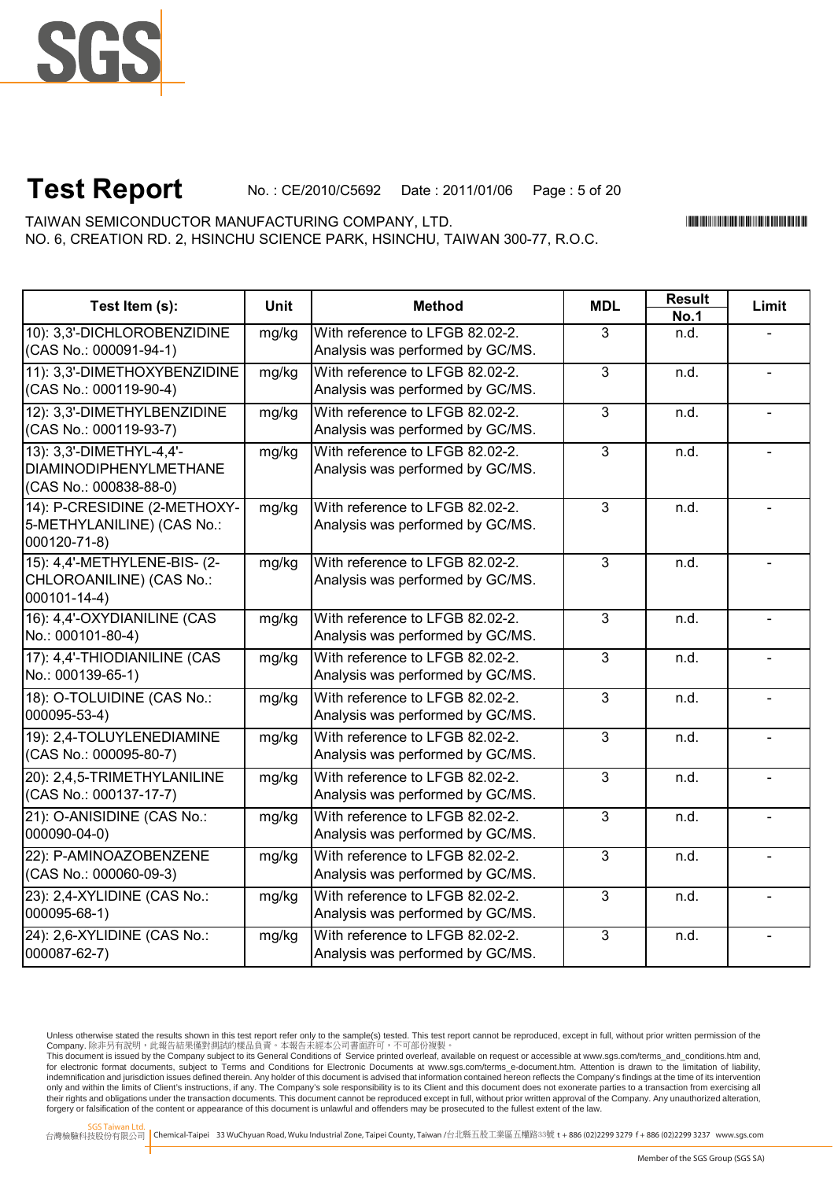

# **Test Report** No. : CE/2010/C5692 Date : 2011/01/06 Page : 5 of 20

NO. 6, CREATION RD. 2, HSINCHU SCIENCE PARK, HSINCHU, TAIWAN 300-77, R.O.C. TAIWAN SEMICONDUCTOR MANUFACTURING COMPANY, LTD.

\*CE/2010/C5692\*CE/2010/C5692\*CE/2010/C5692\*CE/2010

┓

**Result**

| Test Item (s):                                                                      | <b>Unit</b> | <b>Method</b>                                                       | <b>MDL</b>     | ngaan       | Limit |
|-------------------------------------------------------------------------------------|-------------|---------------------------------------------------------------------|----------------|-------------|-------|
|                                                                                     |             |                                                                     |                | <b>No.1</b> |       |
| 10): 3,3'-DICHLOROBENZIDINE<br>(CAS No.: 000091-94-1)                               | mg/kg       | With reference to LFGB 82.02-2.<br>Analysis was performed by GC/MS. | 3              | n.d.        |       |
| 11): 3,3'-DIMETHOXYBENZIDINE<br>(CAS No.: 000119-90-4)                              | mg/kg       | With reference to LFGB 82.02-2.<br>Analysis was performed by GC/MS. | $\overline{3}$ | n.d.        |       |
| 12): 3,3'-DIMETHYLBENZIDINE<br>(CAS No.: 000119-93-7)                               | mg/kg       | With reference to LFGB 82.02-2.<br>Analysis was performed by GC/MS. | $\overline{3}$ | n.d.        |       |
| 13): 3,3'-DIMETHYL-4,4'-<br><b>DIAMINODIPHENYLMETHANE</b><br>(CAS No.: 000838-88-0) | mg/kg       | With reference to LFGB 82.02-2.<br>Analysis was performed by GC/MS. | $\overline{3}$ | n.d.        |       |
| 14): P-CRESIDINE (2-METHOXY-<br>5-METHYLANILINE) (CAS No.:<br>000120-71-8)          | mg/kg       | With reference to LFGB 82.02-2.<br>Analysis was performed by GC/MS. | 3              | n.d.        |       |
| 15): 4,4'-METHYLENE-BIS- (2-<br>CHLOROANILINE) (CAS No.:<br>000101-14-4)            | mg/kg       | With reference to LFGB 82.02-2.<br>Analysis was performed by GC/MS. | $\overline{3}$ | n.d.        |       |
| 16): 4,4'-OXYDIANILINE (CAS<br>No.: 000101-80-4)                                    | mg/kg       | With reference to LFGB 82.02-2.<br>Analysis was performed by GC/MS. | $\overline{3}$ | n.d.        |       |
| 17): 4,4'-THIODIANILINE (CAS<br>No.: 000139-65-1)                                   | mg/kg       | With reference to LFGB 82.02-2.<br>Analysis was performed by GC/MS. | $\overline{3}$ | n.d.        |       |
| 18): O-TOLUIDINE (CAS No.:<br>000095-53-4)                                          | mg/kg       | With reference to LFGB 82.02-2.<br>Analysis was performed by GC/MS. | $\overline{3}$ | n.d.        |       |
| 19): 2,4-TOLUYLENEDIAMINE<br>(CAS No.: 000095-80-7)                                 | mg/kg       | With reference to LFGB 82.02-2.<br>Analysis was performed by GC/MS. | 3              | n.d.        |       |
| 20): 2,4,5-TRIMETHYLANILINE<br>(CAS No.: 000137-17-7)                               | mg/kg       | With reference to LFGB 82.02-2.<br>Analysis was performed by GC/MS. | $\overline{3}$ | n.d.        |       |
| 21): O-ANISIDINE (CAS No.:<br>000090-04-0)                                          | mg/kg       | With reference to LFGB 82.02-2.<br>Analysis was performed by GC/MS. | 3              | n.d.        |       |
| 22): P-AMINOAZOBENZENE<br>(CAS No.: 000060-09-3)                                    | mg/kg       | With reference to LFGB 82.02-2.<br>Analysis was performed by GC/MS. | $\overline{3}$ | n.d.        |       |
| 23): 2,4-XYLIDINE (CAS No.:<br>000095-68-1)                                         | mg/kg       | With reference to LFGB 82.02-2.<br>Analysis was performed by GC/MS. | $\overline{3}$ | n.d.        |       |
| 24): 2,6-XYLIDINE (CAS No.:<br>000087-62-7)                                         | mg/kg       | With reference to LFGB 82.02-2.<br>Analysis was performed by GC/MS. | $\overline{3}$ | n.d.        |       |

Unless otherwise stated the results shown in this test report refer only to the sample(s) tested. This test report cannot be reproduced, except in full, without prior written permission of the Company. 除非另有說明,此報告結果僅對測試的樣品負責。本報告未經本公司書面許可,不可部份複製。

This document is issued by the Company subject to its General Conditions of Service printed overleaf, available on request or accessible at www.sgs.com/terms\_and\_conditions.htm and,<br>for electronic format documents, subject indemnification and jurisdiction issues defined therein. Any holder of this document is advised that information contained hereon reflects the Company's findings at the time of its intervention only and within the limits of Client's instructions, if any. The Company's sole responsibility is to its Client and this document does not exonerate parties to a transaction from exercising all<br>their rights and obligations forgery or falsification of the content or appearance of this document is unlawful and offenders may be prosecuted to the fullest extent of the law.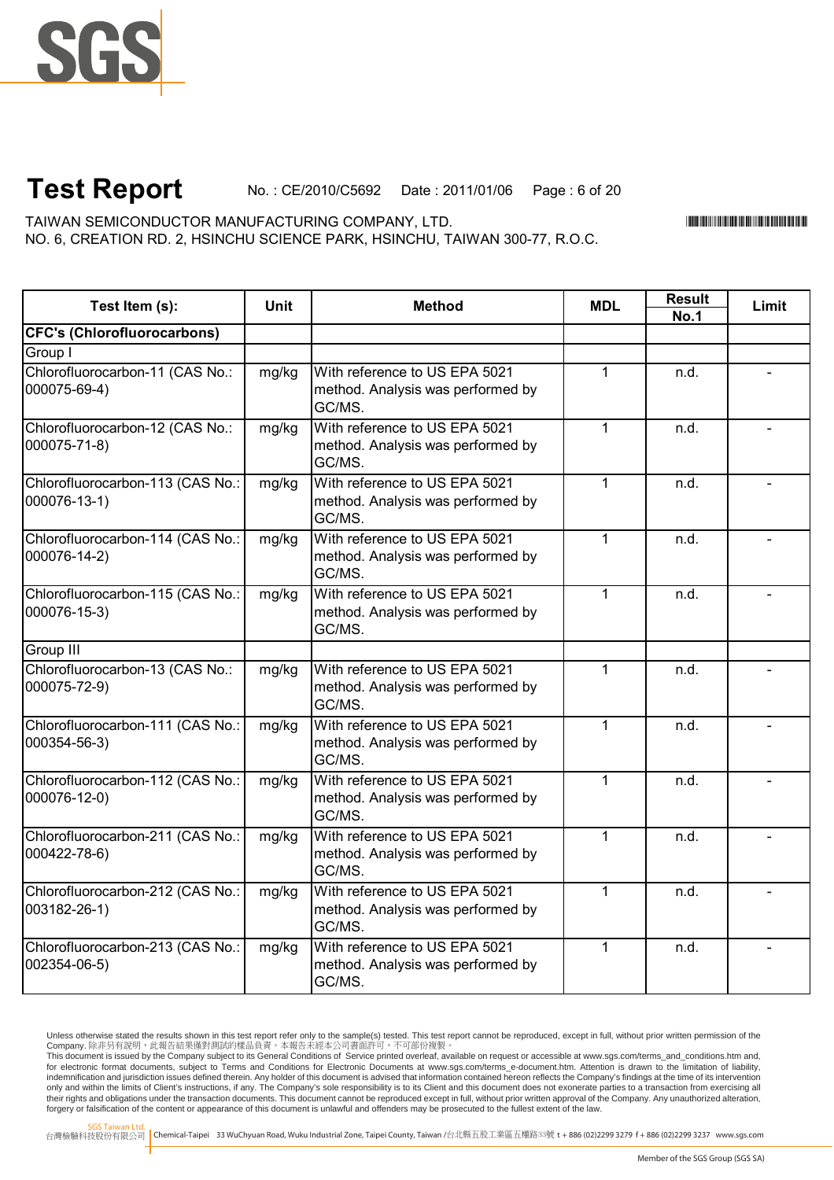

# **Test Report** No. : CE/2010/C5692 Date : 2011/01/06 Page : 6 of 20

NO. 6, CREATION RD. 2, HSINCHU SCIENCE PARK, HSINCHU, TAIWAN 300-77, R.O.C. TAIWAN SEMICONDUCTOR MANUFACTURING COMPANY, LTD.

\*CE/2010/C5692\*CE/2010/C5692\*CE/2010/C5692\*CE/2010

**Result**

| Test Item (s):                                   | <b>Unit</b> | <b>Method</b>                                                                | <b>MDL</b>   | ngaun       | Limit |
|--------------------------------------------------|-------------|------------------------------------------------------------------------------|--------------|-------------|-------|
|                                                  |             |                                                                              |              | <b>No.1</b> |       |
| <b>CFC's (Chlorofluorocarbons)</b>               |             |                                                                              |              |             |       |
| Group I                                          |             |                                                                              |              |             |       |
| Chlorofluorocarbon-11 (CAS No.:<br>000075-69-4)  | mg/kg       | With reference to US EPA 5021<br>method. Analysis was performed by<br>GC/MS. | $\mathbf{1}$ | n.d.        |       |
| Chlorofluorocarbon-12 (CAS No.:<br>000075-71-8)  | mg/kg       | With reference to US EPA 5021<br>method. Analysis was performed by<br>GC/MS. | $\mathbf{1}$ | n.d.        |       |
| Chlorofluorocarbon-113 (CAS No.:<br>000076-13-1) | mg/kg       | With reference to US EPA 5021<br>method. Analysis was performed by<br>GC/MS. | $\mathbf{1}$ | n.d.        |       |
| Chlorofluorocarbon-114 (CAS No.:<br>000076-14-2) | mg/kg       | With reference to US EPA 5021<br>method. Analysis was performed by<br>GC/MS. | $\mathbf{1}$ | n.d.        |       |
| Chlorofluorocarbon-115 (CAS No.:<br>000076-15-3) | mg/kg       | With reference to US EPA 5021<br>method. Analysis was performed by<br>GC/MS. | $\mathbf{1}$ | n.d.        |       |
| Group III                                        |             |                                                                              |              |             |       |
| Chlorofluorocarbon-13 (CAS No.:<br>000075-72-9)  | mg/kg       | With reference to US EPA 5021<br>method. Analysis was performed by<br>GC/MS. | 1            | n.d.        |       |
| Chlorofluorocarbon-111 (CAS No.:<br>000354-56-3) | mg/kg       | With reference to US EPA 5021<br>method. Analysis was performed by<br>GC/MS. | 1            | n.d.        |       |
| Chlorofluorocarbon-112 (CAS No.:<br>000076-12-0) | mg/kg       | With reference to US EPA 5021<br>method. Analysis was performed by<br>GC/MS. | 1            | n.d.        |       |
| Chlorofluorocarbon-211 (CAS No.:<br>000422-78-6) | mg/kg       | With reference to US EPA 5021<br>method. Analysis was performed by<br>GC/MS. | $\mathbf{1}$ | n.d.        |       |
| Chlorofluorocarbon-212 (CAS No.:<br>003182-26-1) | mg/kg       | With reference to US EPA 5021<br>method. Analysis was performed by<br>GC/MS. | $\mathbf{1}$ | n.d.        |       |
| Chlorofluorocarbon-213 (CAS No.:<br>002354-06-5) | mg/kg       | With reference to US EPA 5021<br>method. Analysis was performed by<br>GC/MS. | $\mathbf{1}$ | n.d.        |       |

Unless otherwise stated the results shown in this test report refer only to the sample(s) tested. This test report cannot be reproduced, except in full, without prior written permission of the

Company. 除非另有說明,此報告結果僅對測試的樣品負責。本報告未經本公司書面許可,不可部份複製。<br>This document is issued by the Company subject to its General Conditions of Service printed overleaf available on request or accessible at www.sgs.com/terms\_and\_conditio indemnification and jurisdiction issues defined therein. Any holder of this document is advised that information contained hereon reflects the Company's findings at the time of its intervention only and within the limits of Client's instructions, if any. The Company's sole responsibility is to its Client and this document does not exonerate parties to a transaction from exercising all<br>their rights and obligations forgery or falsification of the content or appearance of this document is unlawful and offenders may be prosecuted to the fullest extent of the law.

SGS Taiwan Ltd.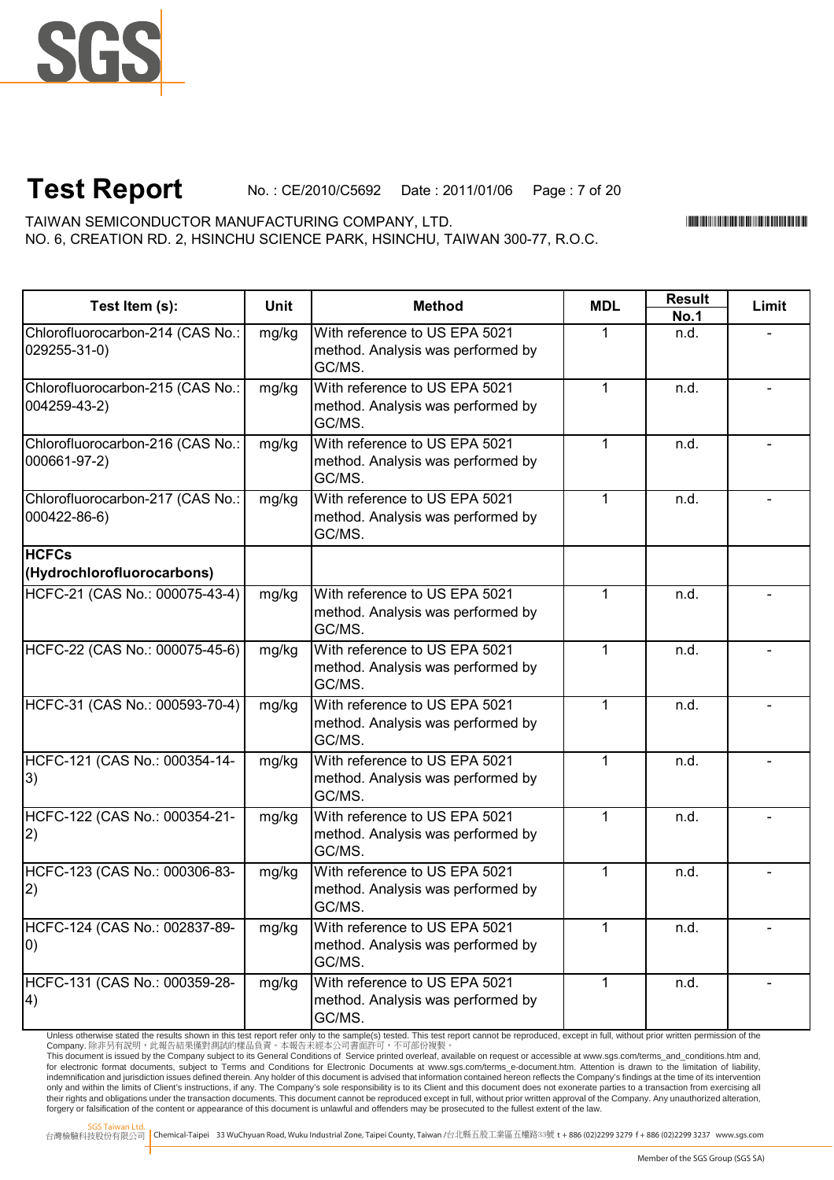

# **Test Report** No. : CE/2010/C5692 Date : 2011/01/06 Page : 7 of 20

NO. 6, CREATION RD. 2, HSINCHU SCIENCE PARK, HSINCHU, TAIWAN 300-77, R.O.C. TAIWAN SEMICONDUCTOR MANUFACTURING COMPANY, LTD.

\*CE/2010/C5692\*CE/2010/C5692\*CE/2010/C5692\*CE/2010

| Test Item (s):                                   | <b>Unit</b> | <b>Method</b>                                                                | <b>MDL</b>   | <b>Result</b><br><b>No.1</b> | Limit |
|--------------------------------------------------|-------------|------------------------------------------------------------------------------|--------------|------------------------------|-------|
| Chlorofluorocarbon-214 (CAS No.:<br>029255-31-0) | mg/kg       | With reference to US EPA 5021<br>method. Analysis was performed by<br>GC/MS. | 1            | n.d.                         |       |
| Chlorofluorocarbon-215 (CAS No.:<br>004259-43-2) | mg/kg       | With reference to US EPA 5021<br>method. Analysis was performed by<br>GC/MS. | 1            | n.d.                         |       |
| Chlorofluorocarbon-216 (CAS No.:<br>000661-97-2) | mg/kg       | With reference to US EPA 5021<br>method. Analysis was performed by<br>GC/MS. | $\mathbf{1}$ | n.d.                         |       |
| Chlorofluorocarbon-217 (CAS No.:<br>000422-86-6) | mg/kg       | With reference to US EPA 5021<br>method. Analysis was performed by<br>GC/MS. | $\mathbf{1}$ | n.d.                         |       |
| <b>HCFCs</b><br>(Hydrochlorofluorocarbons)       |             |                                                                              |              |                              |       |
| HCFC-21 (CAS No.: 000075-43-4)                   | mg/kg       | With reference to US EPA 5021<br>method. Analysis was performed by<br>GC/MS. | $\mathbf{1}$ | n.d.                         |       |
| HCFC-22 (CAS No.: 000075-45-6)                   | mg/kg       | With reference to US EPA 5021<br>method. Analysis was performed by<br>GC/MS. | 1            | n.d.                         |       |
| HCFC-31 (CAS No.: 000593-70-4)                   | mg/kg       | With reference to US EPA 5021<br>method. Analysis was performed by<br>GC/MS. | $\mathbf{1}$ | n.d.                         |       |
| HCFC-121 (CAS No.: 000354-14-<br> 3)             | mg/kg       | With reference to US EPA 5021<br>method. Analysis was performed by<br>GC/MS. | $\mathbf{1}$ | n.d.                         |       |
| HCFC-122 (CAS No.: 000354-21-<br> 2)             | mg/kg       | With reference to US EPA 5021<br>method. Analysis was performed by<br>GC/MS. | 1            | n.d.                         |       |
| HCFC-123 (CAS No.: 000306-83-<br> 2)             | mg/kg       | With reference to US EPA 5021<br>method. Analysis was performed by<br>GC/MS. | 1            | n.d.                         |       |
| HCFC-124 (CAS No.: 002837-89-<br>0)              | mg/kg       | With reference to US EPA 5021<br>method. Analysis was performed by<br>GC/MS. | 1            | n.d.                         |       |
| HCFC-131 (CAS No.: 000359-28-<br>$\vert 4)$      | mg/kg       | With reference to US EPA 5021<br>method. Analysis was performed by<br>GC/MS. | $\mathbf 1$  | n.d.                         |       |

Unless otherwise stated the results shown in this test report refer only to the sample(s) tested. This test report cannot be reproduced, except in full, without prior written permission of the

Company. 除非另有說明,此報告結果僅對測試的樣品負責。本報告未經本公司書面許可,不可部份複製。<br>This document is issued by the Company subject to its General Conditions of Service printed overleaf available on request or accessible at www.sgs.com/terms\_and\_conditio indemnification and jurisdiction issues defined therein. Any holder of this document is advised that information contained hereon reflects the Company's findings at the time of its intervention only and within the limits of Client's instructions, if any. The Company's sole responsibility is to its Client and this document does not exonerate parties to a transaction from exercising all<br>their rights and obligations forgery or falsification of the content or appearance of this document is unlawful and offenders may be prosecuted to the fullest extent of the law.

SGS Taiwan Ltd.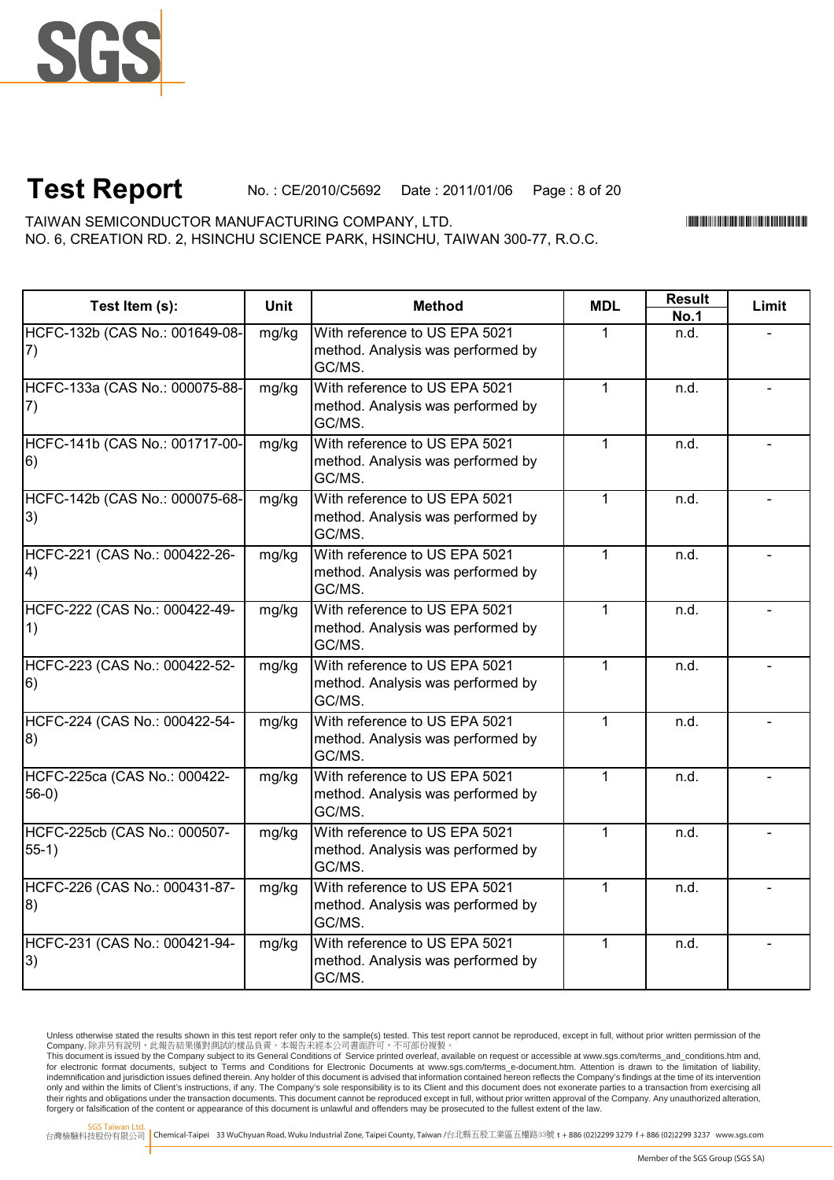

# **Test Report** No. : CE/2010/C5692 Date : 2011/01/06 Page : 8 of 20

NO. 6, CREATION RD. 2, HSINCHU SCIENCE PARK, HSINCHU, TAIWAN 300-77, R.O.C. TAIWAN SEMICONDUCTOR MANUFACTURING COMPANY, LTD.

\*CE/2010/C5692\*CE/2010/C5692\*CE/2010/C5692\*CE/2010

**Result**

| Test Item (s):                          | <b>Unit</b> | <b>Method</b>                                                                | <b>MDL</b>   | nesuit      | Limit |
|-----------------------------------------|-------------|------------------------------------------------------------------------------|--------------|-------------|-------|
|                                         |             |                                                                              |              | <b>No.1</b> |       |
| HCFC-132b (CAS No.: 001649-08-<br>7)    | mg/kg       | With reference to US EPA 5021<br>method. Analysis was performed by<br>GC/MS. | 1            | n.d.        |       |
| HCFC-133a (CAS No.: 000075-88-<br>7)    | mg/kg       | With reference to US EPA 5021<br>method. Analysis was performed by<br>GC/MS. | $\mathbf{1}$ | n.d.        |       |
| HCFC-141b (CAS No.: 001717-00-<br>6)    | mg/kg       | With reference to US EPA 5021<br>method. Analysis was performed by<br>GC/MS. | $\mathbf{1}$ | n.d.        |       |
| HCFC-142b (CAS No.: 000075-68-<br> 3)   | mg/kg       | With reference to US EPA 5021<br>method. Analysis was performed by<br>GC/MS. | $\mathbf{1}$ | n.d.        |       |
| HCFC-221 (CAS No.: 000422-26-<br> 4)    | mg/kg       | With reference to US EPA 5021<br>method. Analysis was performed by<br>GC/MS. | 1            | n.d.        |       |
| HCFC-222 (CAS No.: 000422-49-<br>1)     | mg/kg       | With reference to US EPA 5021<br>method. Analysis was performed by<br>GC/MS. | $\mathbf{1}$ | n.d.        |       |
| HCFC-223 (CAS No.: 000422-52-<br>6)     | mg/kg       | With reference to US EPA 5021<br>method. Analysis was performed by<br>GC/MS. | $\mathbf{1}$ | n.d.        |       |
| HCFC-224 (CAS No.: 000422-54-<br> 8)    | mg/kg       | With reference to US EPA 5021<br>method. Analysis was performed by<br>GC/MS. | $\mathbf{1}$ | n.d.        |       |
| HCFC-225ca (CAS No.: 000422-<br>$56-0)$ | mg/kg       | With reference to US EPA 5021<br>method. Analysis was performed by<br>GC/MS. | 1            | n.d.        |       |
| HCFC-225cb (CAS No.: 000507-<br>$55-1)$ | mg/kg       | With reference to US EPA 5021<br>method. Analysis was performed by<br>GC/MS. | 1            | n.d.        |       |
| HCFC-226 (CAS No.: 000431-87-<br>8)     | mg/kg       | With reference to US EPA 5021<br>method. Analysis was performed by<br>GC/MS. | 1            | n.d.        |       |
| HCFC-231 (CAS No.: 000421-94-<br> 3)    | mg/kg       | With reference to US EPA 5021<br>method. Analysis was performed by<br>GC/MS. | $\mathbf 1$  | n.d.        |       |

Unless otherwise stated the results shown in this test report refer only to the sample(s) tested. This test report cannot be reproduced, except in full, without prior written permission of the Company. 除非另有說明,此報告結果僅對測試的樣品負責。本報告未經本公司書面許可,不可部份複製。

This document is issued by the Company subject to its General Conditions of Service printed overleaf, available on request or accessible at www.sgs.com/terms\_and\_conditions.htm and,<br>for electronic format documents, subject indemnification and jurisdiction issues defined therein. Any holder of this document is advised that information contained hereon reflects the Company's findings at the time of its intervention only and within the limits of Client's instructions, if any. The Company's sole responsibility is to its Client and this document does not exonerate parties to a transaction from exercising all<br>their rights and obligations forgery or falsification of the content or appearance of this document is unlawful and offenders may be prosecuted to the fullest extent of the law.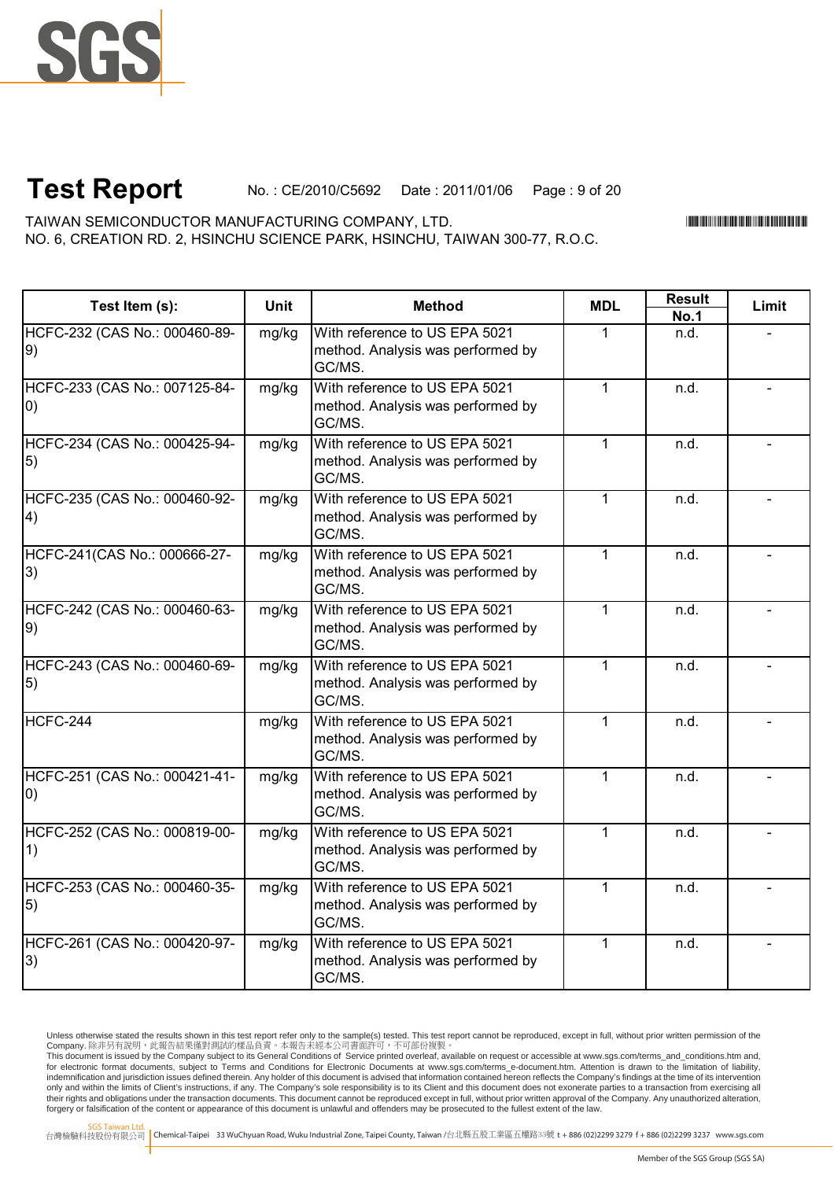

# **Test Report** No. : CE/2010/C5692 Date : 2011/01/06 Page : 9 of 20

NO. 6, CREATION RD. 2, HSINCHU SCIENCE PARK, HSINCHU, TAIWAN 300-77, R.O.C. TAIWAN SEMICONDUCTOR MANUFACTURING COMPANY, LTD.

\*CE/2010/C5692\*CE/2010/C5692\*CE/2010/C5692\*CE/2010

| Test Item (s):                                     | <b>Unit</b> | <b>Method</b>                                                                | <b>MDL</b>   | <b>Result</b> | Limit |
|----------------------------------------------------|-------------|------------------------------------------------------------------------------|--------------|---------------|-------|
|                                                    |             |                                                                              |              | <b>No.1</b>   |       |
| HCFC-232 (CAS No.: 000460-89-<br> 9)               | mg/kg       | With reference to US EPA 5021<br>method. Analysis was performed by<br>GC/MS. | 1            | n.d.          |       |
| HCFC-233 (CAS No.: 007125-84-<br>$ 0\rangle$       | mg/kg       | With reference to US EPA 5021<br>method. Analysis was performed by<br>GC/MS. | $\mathbf{1}$ | n.d.          |       |
| HCFC-234 (CAS No.: 000425-94-<br>$\vert 5 \rangle$ | mg/kg       | With reference to US EPA 5021<br>method. Analysis was performed by<br>GC/MS. | $\mathbf{1}$ | n.d.          |       |
| HCFC-235 (CAS No.: 000460-92-<br>$\left(4\right)$  | mg/kg       | With reference to US EPA 5021<br>method. Analysis was performed by<br>GC/MS. | $\mathbf{1}$ | n.d.          |       |
| HCFC-241(CAS No.: 000666-27-<br> 3)                | mg/kg       | With reference to US EPA 5021<br>method. Analysis was performed by<br>GC/MS. | $\mathbf{1}$ | n.d.          |       |
| HCFC-242 (CAS No.: 000460-63-<br> 9)               | mg/kg       | With reference to US EPA 5021<br>method. Analysis was performed by<br>GC/MS. | $\mathbf{1}$ | n.d.          |       |
| HCFC-243 (CAS No.: 000460-69-<br>$\vert 5 \rangle$ | mg/kg       | With reference to US EPA 5021<br>method. Analysis was performed by<br>GC/MS. | $\mathbf{1}$ | n.d.          |       |
| HCFC-244                                           | mg/kg       | With reference to US EPA 5021<br>method. Analysis was performed by<br>GC/MS. | $\mathbf{1}$ | n.d.          |       |
| HCFC-251 (CAS No.: 000421-41-<br>$ 0\rangle$       | mg/kg       | With reference to US EPA 5021<br>method. Analysis was performed by<br>GC/MS. | $\mathbf{1}$ | n.d.          |       |
| HCFC-252 (CAS No.: 000819-00-<br>1)                | mg/kg       | With reference to US EPA 5021<br>method. Analysis was performed by<br>GC/MS. | $\mathbf{1}$ | n.d.          |       |
| HCFC-253 (CAS No.: 000460-35-<br>$\vert 5 \rangle$ | mg/kg       | With reference to US EPA 5021<br>method. Analysis was performed by<br>GC/MS. | $\mathbf{1}$ | n.d.          |       |
| HCFC-261 (CAS No.: 000420-97-<br> 3)               | mg/kg       | With reference to US EPA 5021<br>method. Analysis was performed by<br>GC/MS. | $\mathbf{1}$ | n.d.          |       |

Unless otherwise stated the results shown in this test report refer only to the sample(s) tested. This test report cannot be reproduced, except in full, without prior written permission of the Company. 除非另有說明,此報告結果僅對測試的樣品負責。本報告未經本公司書面許可,不可部份複製。

This document is issued by the Company subject to its General Conditions of Service printed overleaf, available on request or accessible at www.sgs.com/terms\_and\_conditions.htm and,<br>for electronic format documents, subject indemnification and jurisdiction issues defined therein. Any holder of this document is advised that information contained hereon reflects the Company's findings at the time of its intervention only and within the limits of Client's instructions, if any. The Company's sole responsibility is to its Client and this document does not exonerate parties to a transaction from exercising all<br>their rights and obligations forgery or falsification of the content or appearance of this document is unlawful and offenders may be prosecuted to the fullest extent of the law.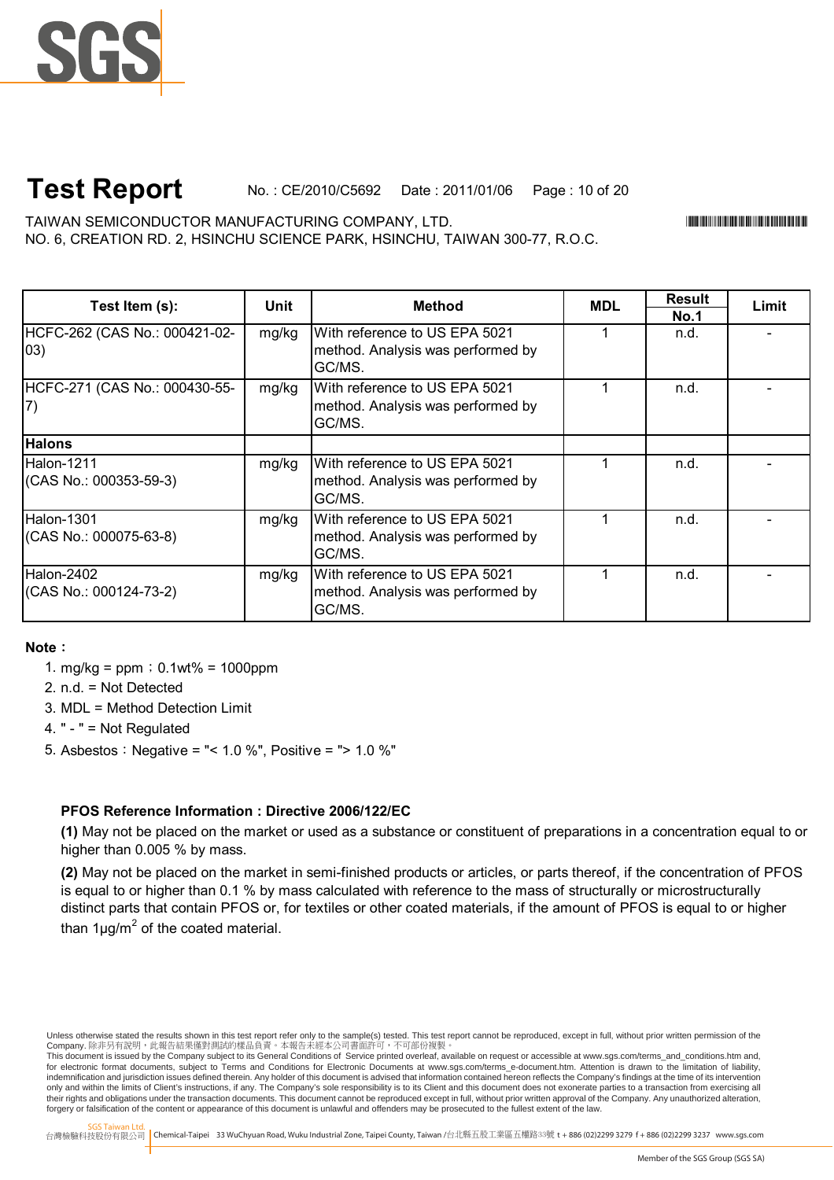

# **Test Report** No. : CE/2010/C5692 Date : 2011/01/06 Page : 10 of 20

TAIWAN SEMICONDUCTOR MANUFACTURING COMPANY, LTD. \*CE/2010/C5692\* NO. 6, CREATION RD. 2, HSINCHU SCIENCE PARK, HSINCHU, TAIWAN 300-77, R.O.C.

| Test Item (s):                                | Unit  | Method                                                                       | <b>MDL</b> | <b>Result</b> | Limit |
|-----------------------------------------------|-------|------------------------------------------------------------------------------|------------|---------------|-------|
|                                               |       |                                                                              |            | <b>No.1</b>   |       |
| HCFC-262 (CAS No.: 000421-02-<br>$ 03\rangle$ | mg/kg | With reference to US EPA 5021<br>method. Analysis was performed by<br>GC/MS. |            | n.d.          |       |
| HCFC-271 (CAS No.: 000430-55-                 | mg/kg | With reference to US EPA 5021<br>method. Analysis was performed by<br>GC/MS. |            | n.d.          |       |
| <b>Halons</b>                                 |       |                                                                              |            |               |       |
| <b>Halon-1211</b><br>(CAS No.: 000353-59-3)   | mg/kg | With reference to US EPA 5021<br>method. Analysis was performed by<br>GC/MS. |            | n.d.          |       |
| Halon-1301<br>(CAS No.: 000075-63-8)          | mg/kg | With reference to US EPA 5021<br>method. Analysis was performed by<br>GC/MS. |            | n.d.          |       |
| Halon-2402<br>(CAS No.: 000124-73-2)          | mg/kg | With reference to US EPA 5021<br>method. Analysis was performed by<br>GC/MS. |            | n.d.          |       |

#### **Note**:

- 1. mg/kg =  $ppm$ ; 0.1wt% = 1000ppm
- 2. n.d. = Not Detected
- 3. MDL = Method Detection Limit
- 4. " " = Not Regulated
- 5. Asbestos:Negative = "< 1.0 %", Positive = "> 1.0 %"

#### **PFOS Reference Information : Directive 2006/122/EC**

**(1)** May not be placed on the market or used as a substance or constituent of preparations in a concentration equal to or higher than 0.005 % by mass.

**(2)** May not be placed on the market in semi-finished products or articles, or parts thereof, if the concentration of PFOS is equal to or higher than 0.1 % by mass calculated with reference to the mass of structurally or microstructurally distinct parts that contain PFOS or, for textiles or other coated materials, if the amount of PFOS is equal to or higher than 1 $\mu$ g/m<sup>2</sup> of the coated material.

Unless otherwise stated the results shown in this test report refer only to the sample(s) tested. This test report cannot be reproduced, except in full, without prior written permission of the Company. 除非另有說明,此報告結果僅對測試的樣品負責。本報告未經本公司書面許可,不可部份複製。

This document is issued by the Company subject to its General Conditions of Service printed overleaf, available on request or accessible at www.sgs.com/terms\_and\_conditions.htm and,<br>for electronic format documents, subject indemnification and jurisdiction issues defined therein. Any holder of this document is advised that information contained hereon reflects the Company's findings at the time of its intervention only and within the limits of Client's instructions, if any. The Company's sole responsibility is to its Client and this document does not exonerate parties to a transaction from exercising all<br>their rights and obligations forgery or falsification of the content or appearance of this document is unlawful and offenders may be prosecuted to the fullest extent of the law.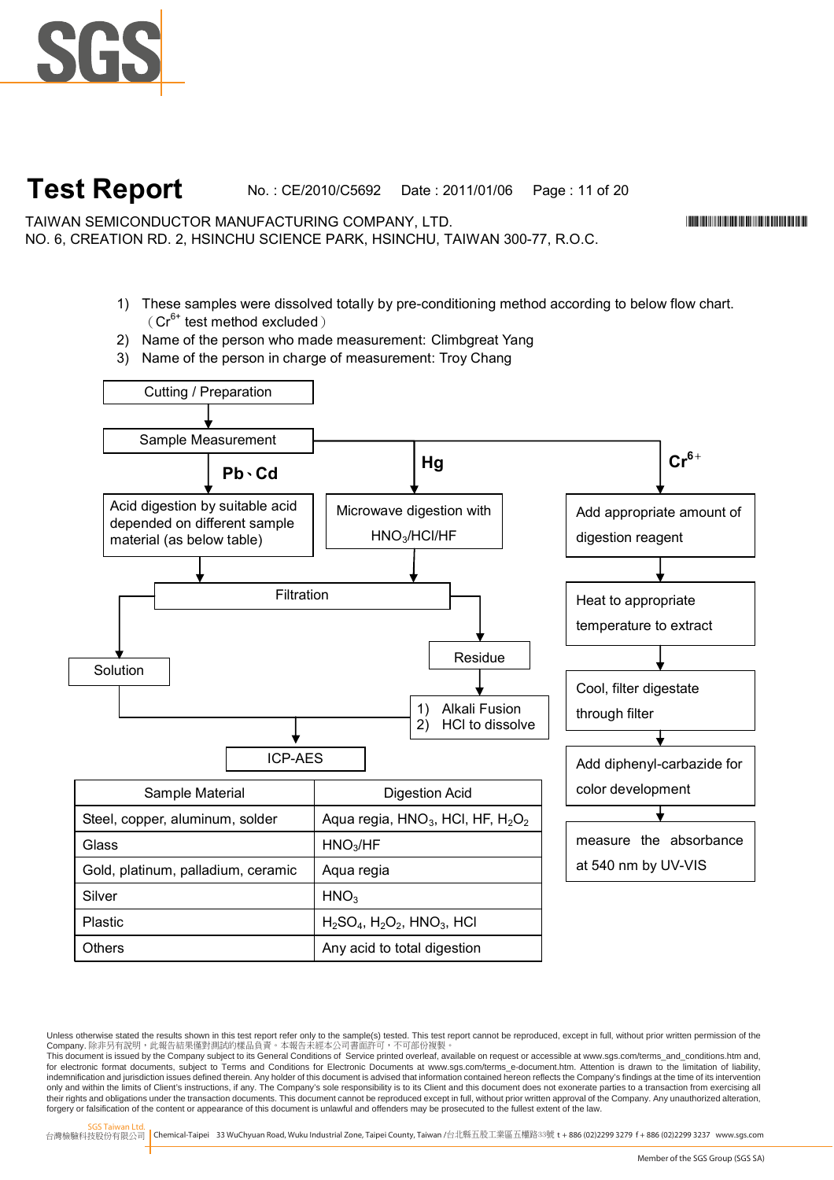

## **Test Report** No. : CE/2010/C5692 Date : 2011/01/06 Page : 11 of 20

TAIWAN SEMICONDUCTOR MANUFACTURING COMPANY, LTD. \*CE/2010/C5692\* NO. 6, CREATION RD. 2, HSINCHU SCIENCE PARK, HSINCHU, TAIWAN 300-77, R.O.C.

- 1) These samples were dissolved totally by pre-conditioning method according to below flow chart.  $(Cr^{6+}$  test method excluded)
- 2) Name of the person who made measurement: Climbgreat Yang
- 3) Name of the person in charge of measurement: Troy Chang



Unless otherwise stated the results shown in this test report refer only to the sample(s) tested. This test report cannot be reproduced, except in full, without prior written permission of the Company. 除非另有說明,此報告結果僅對測試的樣品負責。本報告未經本公司書面許可,不可部份複製。

This document is issued by the Company subject to its General Conditions of Service printed overleaf, available on request or accessible at www.sgs.com/terms\_and\_conditions.htm and,<br>for electronic format documents, subject indemnification and jurisdiction issues defined therein. Any holder of this document is advised that information contained hereon reflects the Company's findings at the time of its intervention only and within the limits of Client's instructions, if any. The Company's sole responsibility is to its Client and this document does not exonerate parties to a transaction from exercising all<br>their rights and obligations forgery or falsification of the content or appearance of this document is unlawful and offenders may be prosecuted to the fullest extent of the law.

台灣檢驗科技股份有限公司 Chemical-Taipei 33 WuChyuan Road, Wuku Industrial Zone, Taipei County, Taiwan /台北縣五股工業區五權路33號 **t** +886 (02)2299 3279 **f** + 886 (02)2299 3237 www.sgs.com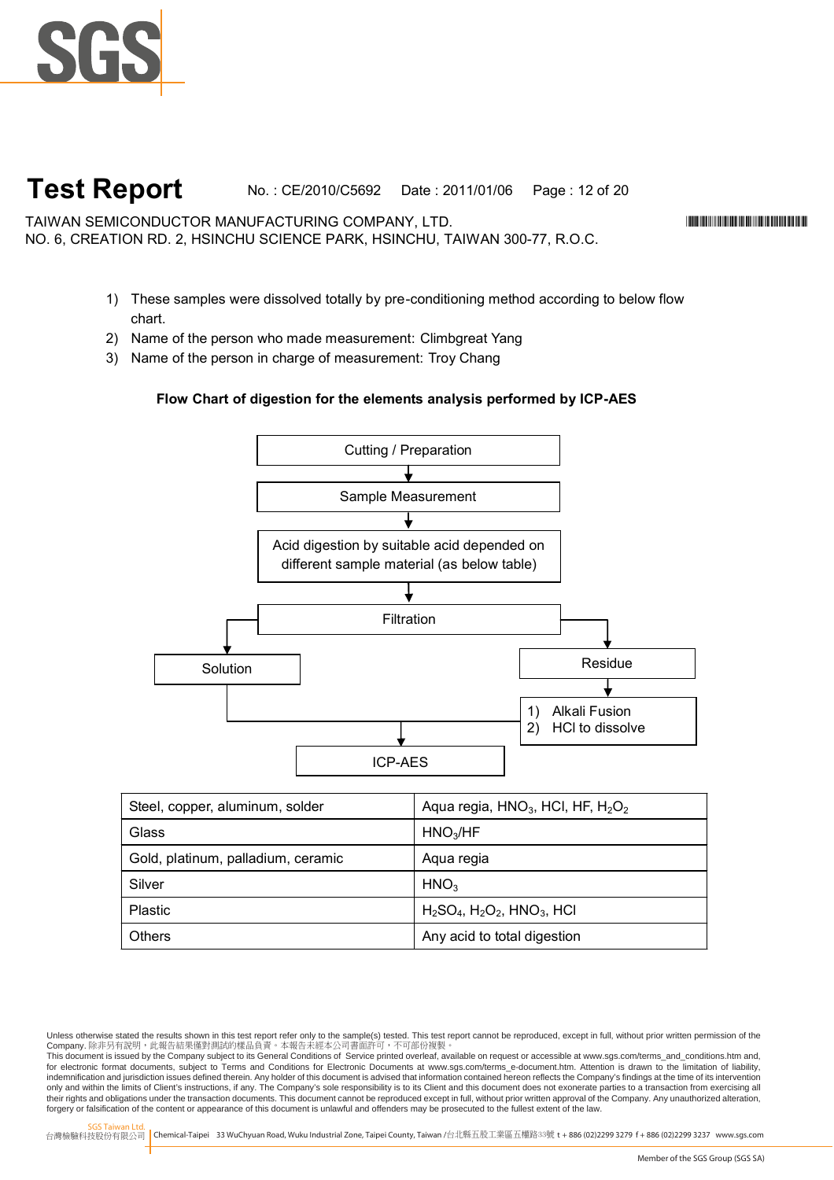

### **Test Report** No. : CE/2010/C5692 Date : 2011/01/06 Page : 12 of 20

TAIWAN SEMICONDUCTOR MANUFACTURING COMPANY, LTD. \*CE/2010/C5692\* NO. 6, CREATION RD. 2, HSINCHU SCIENCE PARK, HSINCHU, TAIWAN 300-77, R.O.C.

- 1) These samples were dissolved totally by pre-conditioning method according to below flow chart.
- 2) Name of the person who made measurement: Climbgreat Yang
- 3) Name of the person in charge of measurement: Troy Chang

#### **Flow Chart of digestion for the elements analysis performed by ICP-AES**



| Steel, copper, aluminum, solder    | Aqua regia, $HNO3$ , HCI, HF, $H2O2$ |
|------------------------------------|--------------------------------------|
| Glass                              | HNO <sub>3</sub> /HF                 |
| Gold, platinum, palladium, ceramic | Aqua regia                           |
| Silver                             | HNO <sub>3</sub>                     |
| <b>Plastic</b>                     | $H_2SO_4$ , $H_2O_2$ , $HNO_3$ , HCI |
| <b>Others</b>                      | Any acid to total digestion          |

Unless otherwise stated the results shown in this test report refer only to the sample(s) tested. This test report cannot be reproduced, except in full, without prior written permission of the Company. 除非另有說明,此報告結果僅對測試的樣品負責。本報告未經本公司書面許可,不可部份複製。

This document is issued by the Company subject to its General Conditions of Service printed overleaf, available on request or accessible at www.sgs.com/terms\_and\_conditions.htm and,<br>for electronic format documents, subject indemnification and jurisdiction issues defined therein. Any holder of this document is advised that information contained hereon reflects the Company's findings at the time of its intervention only and within the limits of Client's instructions, if any. The Company's sole responsibility is to its Client and this document does not exonerate parties to a transaction from exercising all<br>their rights and obligations forgery or falsification of the content or appearance of this document is unlawful and offenders may be prosecuted to the fullest extent of the law.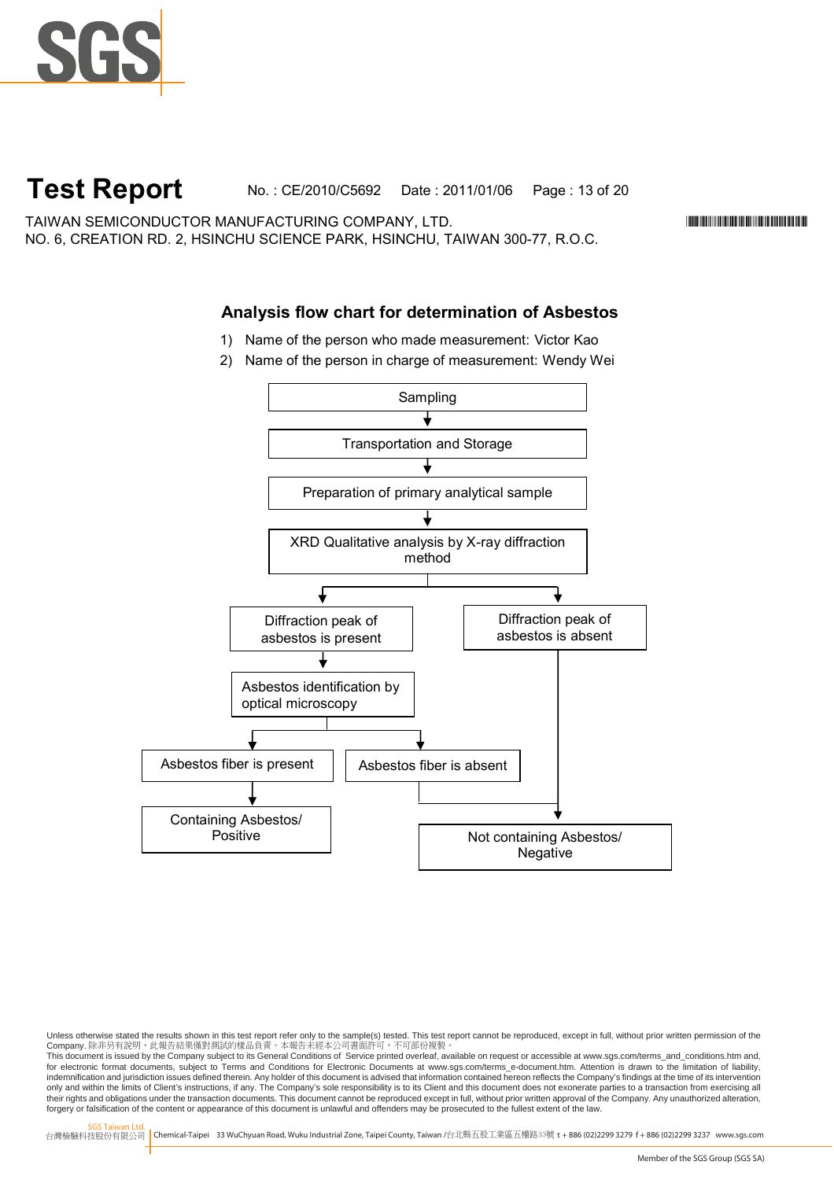

### **Test Report** No. : CE/2010/C5692 Date : 2011/01/06 Page : 13 of 20

TAIWAN SEMICONDUCTOR MANUFACTURING COMPANY, LTD. \*CE/2010/C5692\* NO. 6, CREATION RD. 2, HSINCHU SCIENCE PARK, HSINCHU, TAIWAN 300-77, R.O.C.

### **Analysis flow chart for determination of Asbestos**

- 1) Name of the person who made measurement: Victor Kao
- 2) Name of the person in charge of measurement: Wendy Wei



Unless otherwise stated the results shown in this test report refer only to the sample(s) tested. This test report cannot be reproduced, except in full, without prior written permission of the Company. 除非另有說明,此報告結果僅對測試的樣品負責。本報告未經本公司書面許可,不可部份複製。

This document is issued by the Company subject to its General Conditions of Service printed overleaf, available on request or accessible at www.sgs.com/terms\_and\_conditions.htm and,<br>for electronic format documents, subject indemnification and jurisdiction issues defined therein. Any holder of this document is advised that information contained hereon reflects the Company's findings at the time of its intervention only and within the limits of Client's instructions, if any. The Company's sole responsibility is to its Client and this document does not exonerate parties to a transaction from exercising all<br>their rights and obligations forgery or falsification of the content or appearance of this document is unlawful and offenders may be prosecuted to the fullest extent of the law.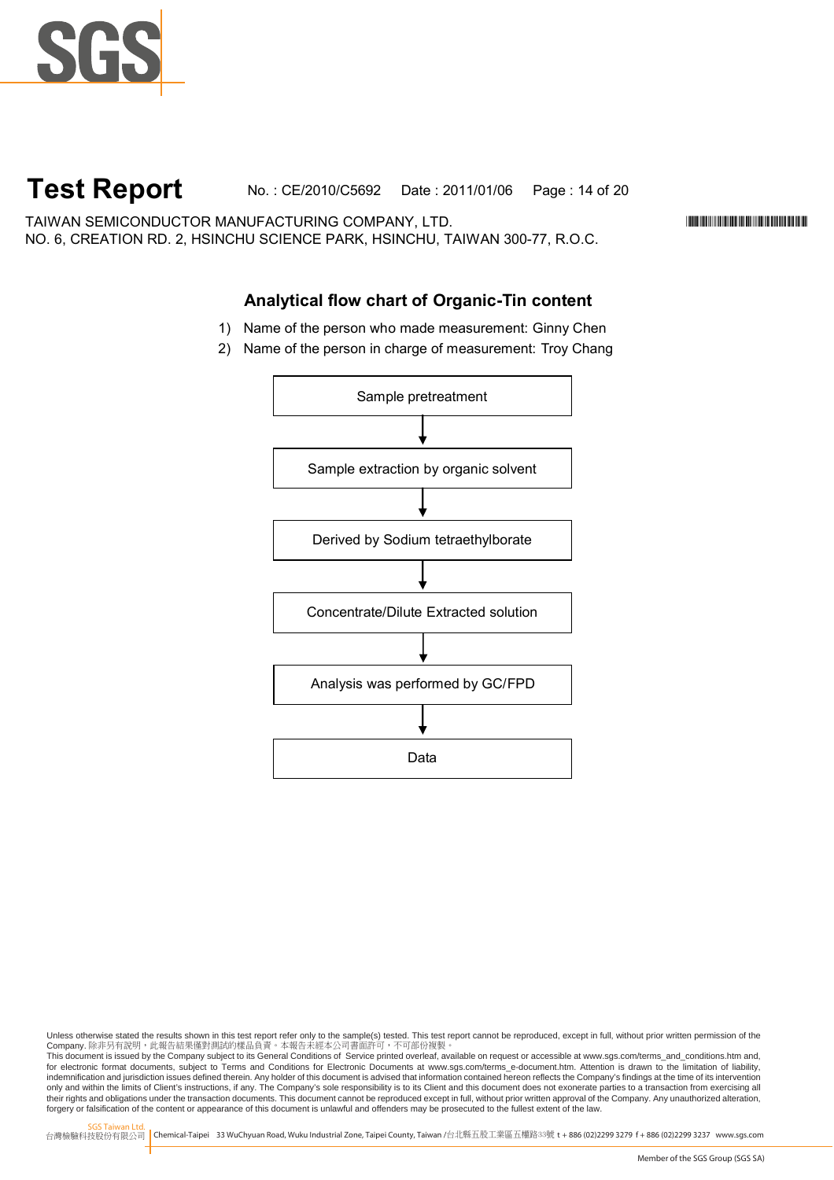

### **Test Report** No. : CE/2010/C5692 Date : 2011/01/06 Page : 14 of 20

TAIWAN SEMICONDUCTOR MANUFACTURING COMPANY, LTD. \*CE/2010/C5692\* NO. 6, CREATION RD. 2, HSINCHU SCIENCE PARK, HSINCHU, TAIWAN 300-77, R.O.C.

#### **Analytical flow chart of Organic-Tin content**

- 1) Name of the person who made measurement: Ginny Chen
- 2) Name of the person in charge of measurement: Troy Chang



Unless otherwise stated the results shown in this test report refer only to the sample(s) tested. This test report cannot be reproduced, except in full, without prior written permission of the Company. 除非另有說明,此報告結果僅對測試的樣品負責。本報告未經本公司書面許可,不可部份複製。

This document is issued by the Company subject to its General Conditions of Service printed overleaf, available on request or accessible at www.sgs.com/terms\_and\_conditions.htm and,<br>for electronic format documents, subject indemnification and jurisdiction issues defined therein. Any holder of this document is advised that information contained hereon reflects the Company's findings at the time of its intervention only and within the limits of Client's instructions, if any. The Company's sole responsibility is to its Client and this document does not exonerate parties to a transaction from exercising all<br>their rights and obligations forgery or falsification of the content or appearance of this document is unlawful and offenders may be prosecuted to the fullest extent of the law.

SGS Taiwan Ltd.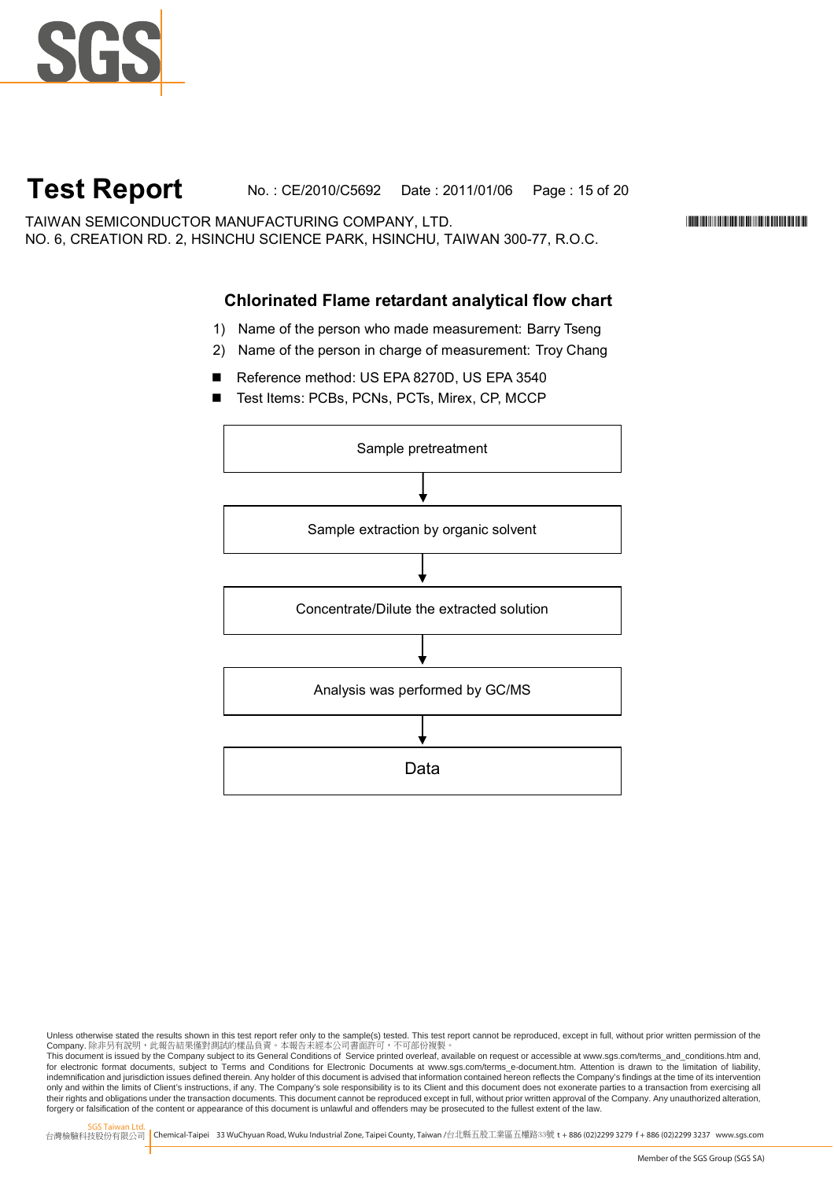

### **Test Report** No. : CE/2010/C5692 Date : 2011/01/06 Page : 15 of 20

TAIWAN SEMICONDUCTOR MANUFACTURING COMPANY, LTD. \*CE/2010/C5692\* NO. 6, CREATION RD. 2, HSINCHU SCIENCE PARK, HSINCHU, TAIWAN 300-77, R.O.C.

### **Chlorinated Flame retardant analytical flow chart**

- 1) Name of the person who made measurement: Barry Tseng
- 2) Name of the person in charge of measurement: Troy Chang
- Reference method: US EPA 8270D, US EPA 3540
- Test Items: PCBs, PCNs, PCTs, Mirex, CP, MCCP



Unless otherwise stated the results shown in this test report refer only to the sample(s) tested. This test report cannot be reproduced, except in full, without prior written permission of the Company. 除非另有說明,此報告結果僅對測試的樣品負責。本報告未經本公司書面許可,不可部份複製。

This document is issued by the Company subject to its General Conditions of Service printed overleaf, available on request or accessible at www.sgs.com/terms\_and\_conditions.htm and,<br>for electronic format documents, subject indemnification and jurisdiction issues defined therein. Any holder of this document is advised that information contained hereon reflects the Company's findings at the time of its intervention only and within the limits of Client's instructions, if any. The Company's sole responsibility is to its Client and this document does not exonerate parties to a transaction from exercising all<br>their rights and obligations forgery or falsification of the content or appearance of this document is unlawful and offenders may be prosecuted to the fullest extent of the law.

SGS Taiwan Ltd.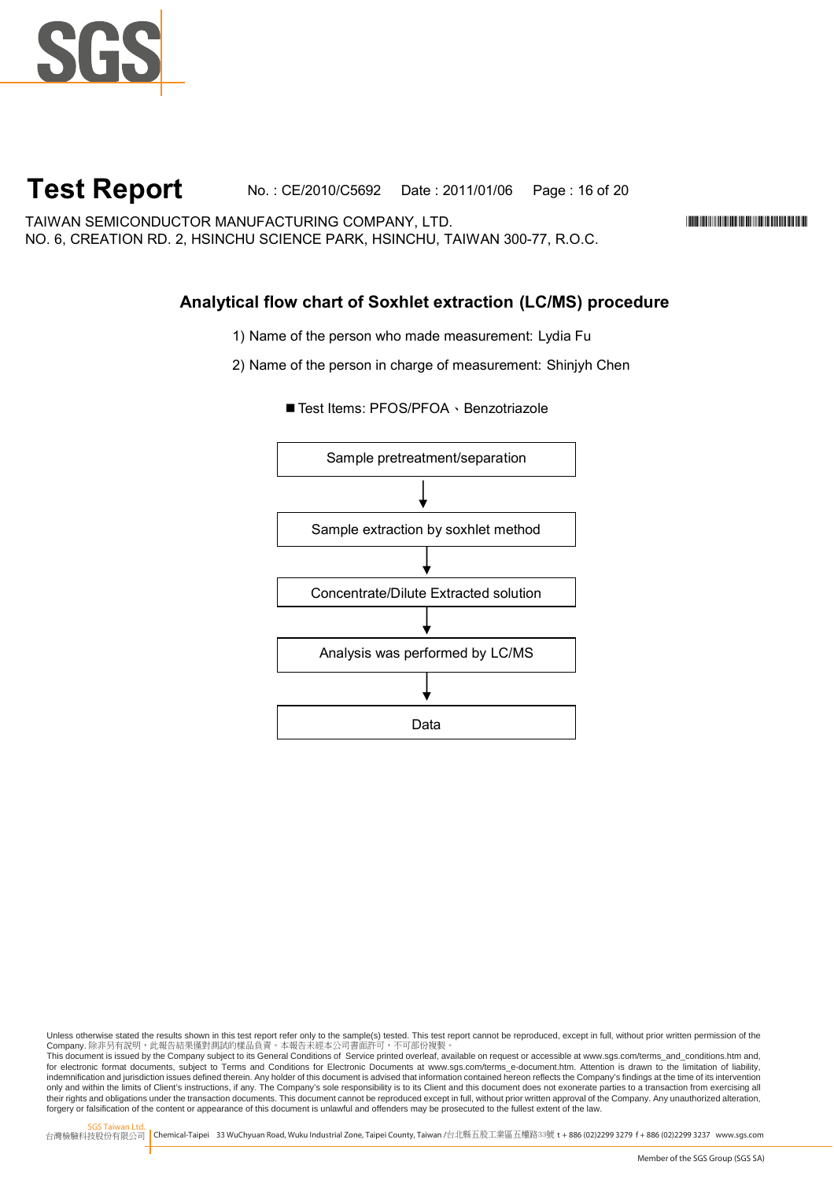

### **Test Report** No. : CE/2010/C5692 Date : 2011/01/06 Page : 16 of 20

TAIWAN SEMICONDUCTOR MANUFACTURING COMPANY, LTD. \*CE/2010/C5692\* NO. 6, CREATION RD. 2, HSINCHU SCIENCE PARK, HSINCHU, TAIWAN 300-77, R.O.C.

### **Analytical flow chart of Soxhlet extraction (LC/MS) procedure**

1) Name of the person who made measurement: Lydia Fu

2) Name of the person in charge of measurement: Shinjyh Chen



■ Test Items: PFOS/PFOA、Benzotriazole

Unless otherwise stated the results shown in this test report refer only to the sample(s) tested. This test report cannot be reproduced, except in full, without prior written permission of the Company. 除非另有說明,此報告結果僅對測試的樣品負責。本報告未經本公司書面許可,不可部份複製。

This document is issued by the Company subject to its General Conditions of Service printed overleaf, available on request or accessible at www.sgs.com/terms\_and\_conditions.htm and,<br>for electronic format documents, subject indemnification and jurisdiction issues defined therein. Any holder of this document is advised that information contained hereon reflects the Company's findings at the time of its intervention only and within the limits of Client's instructions, if any. The Company's sole responsibility is to its Client and this document does not exonerate parties to a transaction from exercising all<br>their rights and obligations forgery or falsification of the content or appearance of this document is unlawful and offenders may be prosecuted to the fullest extent of the law.

SGS Taiwan Ltd.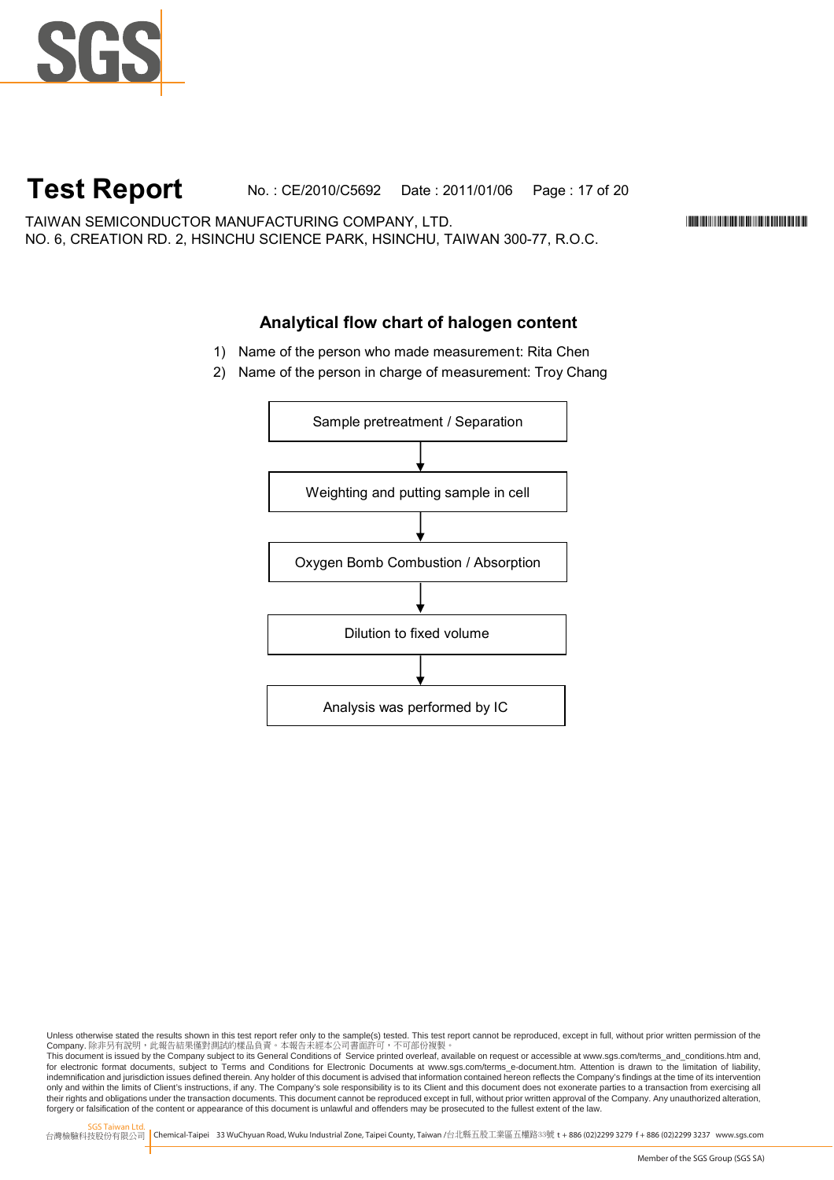

### **Test Report** No. : CE/2010/C5692 Date : 2011/01/06 Page : 17 of 20

TAIWAN SEMICONDUCTOR MANUFACTURING COMPANY, LTD. \*CE/2010/C5692\* NO. 6, CREATION RD. 2, HSINCHU SCIENCE PARK, HSINCHU, TAIWAN 300-77, R.O.C.

#### **Analytical flow chart of halogen content**

- 1) Name of the person who made measurement: Rita Chen
- 2) Name of the person in charge of measurement: Troy Chang



Unless otherwise stated the results shown in this test report refer only to the sample(s) tested. This test report cannot be reproduced, except in full, without prior written permission of the Company. 除非另有說明,此報告結果僅對測試的樣品負責。本報告未經本公司書面許可,不可部份複製。

This document is issued by the Company subject to its General Conditions of Service printed overleaf, available on request or accessible at www.sgs.com/terms\_and\_conditions.htm and,<br>for electronic format documents, subject indemnification and jurisdiction issues defined therein. Any holder of this document is advised that information contained hereon reflects the Company's findings at the time of its intervention only and within the limits of Client's instructions, if any. The Company's sole responsibility is to its Client and this document does not exonerate parties to a transaction from exercising all<br>their rights and obligations forgery or falsification of the content or appearance of this document is unlawful and offenders may be prosecuted to the fullest extent of the law.

SGS Taiwan Ltd.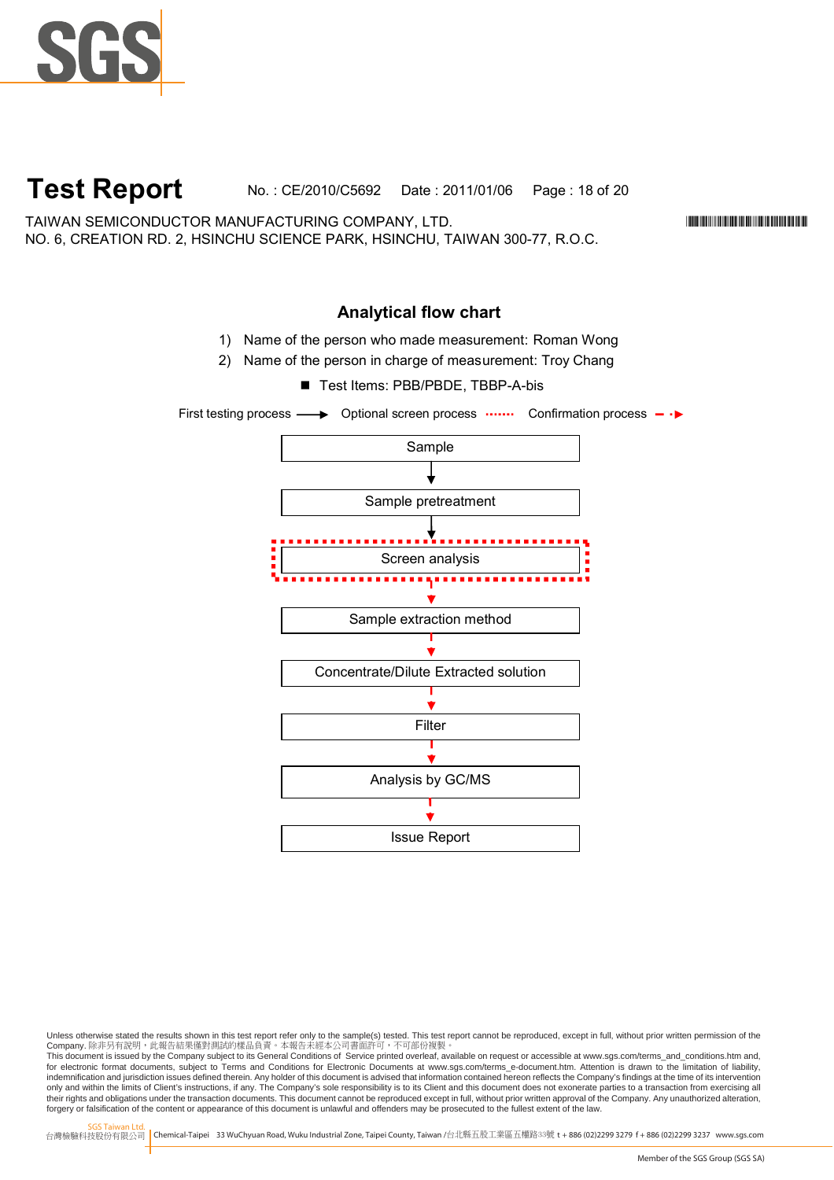

### **Test Report** No. : CE/2010/C5692 Date : 2011/01/06 Page : 18 of 20

TAIWAN SEMICONDUCTOR MANUFACTURING COMPANY, LTD. \*CE/2010/C5692\* NO. 6, CREATION RD. 2, HSINCHU SCIENCE PARK, HSINCHU, TAIWAN 300-77, R.O.C.

### **Analytical flow chart**

- 1) Name of the person who made measurement: Roman Wong
- 2) Name of the person in charge of measurement: Troy Chang ■ Test Items: PBB/PBDE, TBBP-A-bis
	- Sample Sample pretreatment Screen analysis Sample extraction method Concentrate/Dilute Extracted solution  $\bullet$ Filter ÷ Analysis by GC/MS Ŵ Issue Report



Unless otherwise stated the results shown in this test report refer only to the sample(s) tested. This test report cannot be reproduced, except in full, without prior written permission of the Company. 除非另有說明,此報告結果僅對測試的樣品負責。本報告未經本公司書面許可,不可部份複製。

This document is issued by the Company subject to its General Conditions of Service printed overleaf, available on request or accessible at www.sgs.com/terms\_and\_conditions.htm and,<br>for electronic format documents, subject indemnification and jurisdiction issues defined therein. Any holder of this document is advised that information contained hereon reflects the Company's findings at the time of its intervention only and within the limits of Client's instructions, if any. The Company's sole responsibility is to its Client and this document does not exonerate parties to a transaction from exercising all<br>their rights and obligations forgery or falsification of the content or appearance of this document is unlawful and offenders may be prosecuted to the fullest extent of the law.

SGS Taiwan Ltd.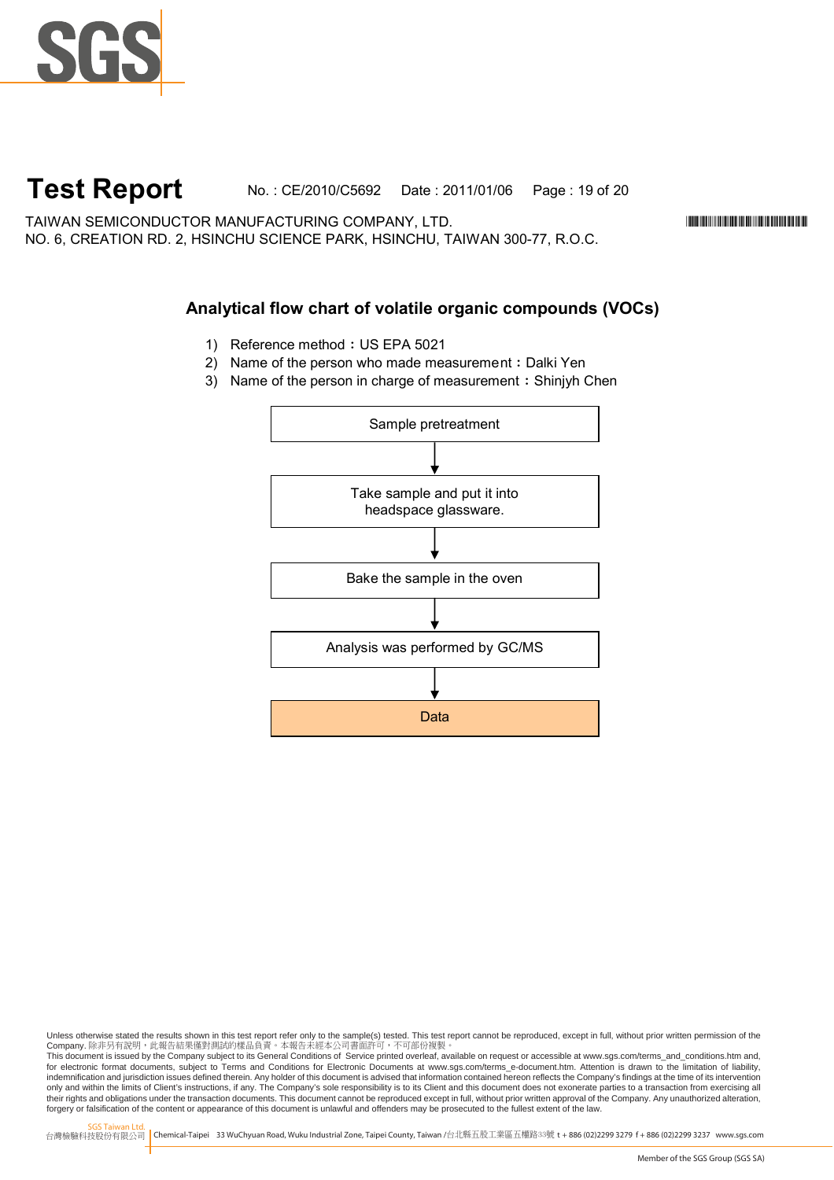

### **Test Report** No. : CE/2010/C5692 Date : 2011/01/06 Page : 19 of 20

TAIWAN SEMICONDUCTOR MANUFACTURING COMPANY, LTD. \*CE/2010/C5692\* NO. 6, CREATION RD. 2, HSINCHU SCIENCE PARK, HSINCHU, TAIWAN 300-77, R.O.C.

### **Analytical flow chart of volatile organic compounds (VOCs)**

- 1) Reference method: US EPA 5021
- 2) Name of the person who made measurement: Dalki Yen
- 3) Name of the person in charge of measurement: Shinjyh Chen



Unless otherwise stated the results shown in this test report refer only to the sample(s) tested. This test report cannot be reproduced, except in full, without prior written permission of the Company. 除非另有說明,此報告結果僅對測試的樣品負責。本報告未經本公司書面許可,不可部份複製。

This document is issued by the Company subject to its General Conditions of Service printed overleaf, available on request or accessible at www.sgs.com/terms\_and\_conditions.htm and,<br>for electronic format documents, subject indemnification and jurisdiction issues defined therein. Any holder of this document is advised that information contained hereon reflects the Company's findings at the time of its intervention only and within the limits of Client's instructions, if any. The Company's sole responsibility is to its Client and this document does not exonerate parties to a transaction from exercising all<br>their rights and obligations forgery or falsification of the content or appearance of this document is unlawful and offenders may be prosecuted to the fullest extent of the law.

SGS Taiwan Ltd.